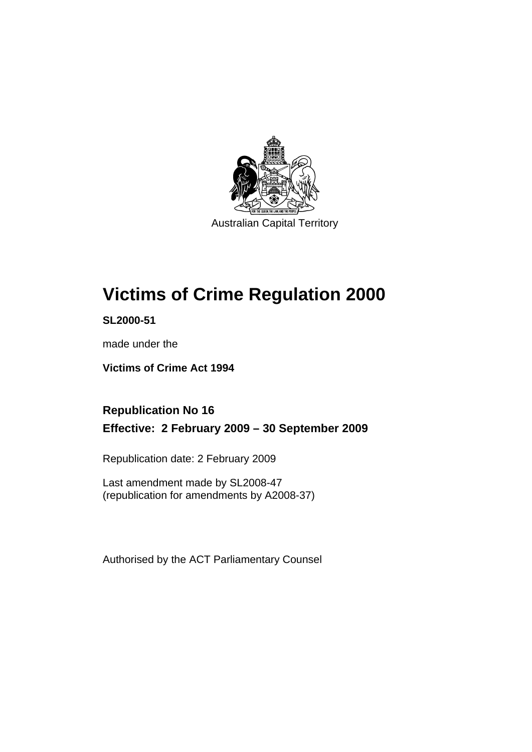

Australian Capital Territory

# **[Victims of Crime Regulation 2000](#page-6-0)**

**SL2000-51** 

made under the

**[Victims of Crime Act 1994](#page-6-0)** 

# **Republication No 16 Effective: 2 February 2009 – 30 September 2009**

Republication date: 2 February 2009

Last amendment made by SL2008-47 (republication for amendments by A2008-37)

Authorised by the ACT Parliamentary Counsel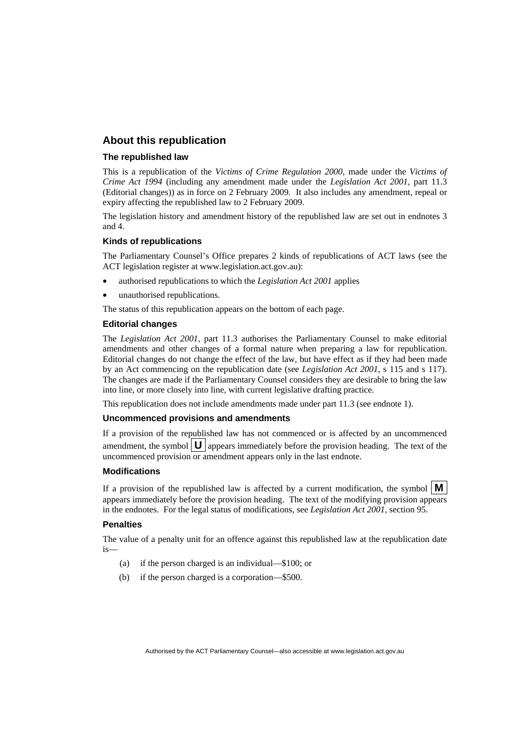#### **About this republication**

#### **The republished law**

This is a republication of the *Victims of Crime Regulation 2000*, made under the *[Victims of](#page-6-0)  [Crime Act 1994](#page-6-0)* (including any amendment made under the *Legislation Act 2001*, part 11.3 (Editorial changes)) as in force on 2 February 2009*.* It also includes any amendment, repeal or expiry affecting the republished law to 2 February 2009.

The legislation history and amendment history of the republished law are set out in endnotes 3 and 4.

#### **Kinds of republications**

The Parliamentary Counsel's Office prepares 2 kinds of republications of ACT laws (see the ACT legislation register at www.legislation.act.gov.au):

- authorised republications to which the *Legislation Act 2001* applies
- unauthorised republications.

The status of this republication appears on the bottom of each page.

#### **Editorial changes**

The *Legislation Act 2001*, part 11.3 authorises the Parliamentary Counsel to make editorial amendments and other changes of a formal nature when preparing a law for republication. Editorial changes do not change the effect of the law, but have effect as if they had been made by an Act commencing on the republication date (see *Legislation Act 2001*, s 115 and s 117). The changes are made if the Parliamentary Counsel considers they are desirable to bring the law into line, or more closely into line, with current legislative drafting practice.

This republication does not include amendments made under part 11.3 (see endnote 1).

#### **Uncommenced provisions and amendments**

If a provision of the republished law has not commenced or is affected by an uncommenced amendment, the symbol  $\mathbf{U}$  appears immediately before the provision heading. The text of the uncommenced provision  $\overline{or}$  amendment appears only in the last endnote.

#### **Modifications**

If a provision of the republished law is affected by a current modification, the symbol  $\mathbf{M}$ appears immediately before the provision heading. The text of the modifying provision appears in the endnotes. For the legal status of modifications, see *Legislation Act 2001*, section 95.

#### **Penalties**

The value of a penalty unit for an offence against this republished law at the republication date is—

- (a) if the person charged is an individual—\$100; or
- (b) if the person charged is a corporation—\$500.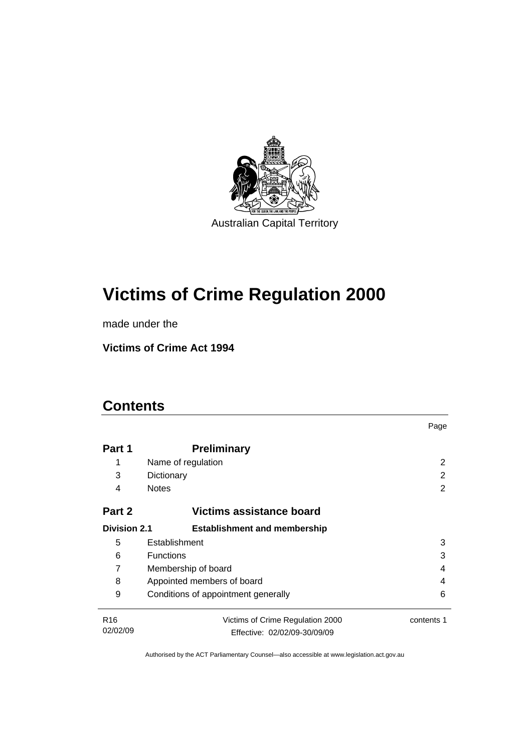

# **[Victims of Crime Regulation 2000](#page-6-0)**

made under the

**[Victims of Crime Act 1994](#page-6-0)** 

# **Contents**

|                                    |                                     | Page       |  |
|------------------------------------|-------------------------------------|------------|--|
| Part 1                             | <b>Preliminary</b>                  |            |  |
| 1                                  | Name of regulation                  | 2          |  |
| 3                                  | Dictionary                          | 2          |  |
| 4                                  | <b>Notes</b>                        | 2          |  |
| Part 2<br>Victims assistance board |                                     |            |  |
| <b>Division 2.1</b>                | <b>Establishment and membership</b> |            |  |
| 5                                  | Establishment                       | 3          |  |
| 6                                  | <b>Functions</b>                    | 3          |  |
| 7                                  | Membership of board<br>4            |            |  |
| 8                                  | Appointed members of board<br>4     |            |  |
| 9                                  | Conditions of appointment generally | 6          |  |
| R <sub>16</sub>                    | Victims of Crime Regulation 2000    | contents 1 |  |
| 02/02/09                           | Effective: 02/02/09-30/09/09        |            |  |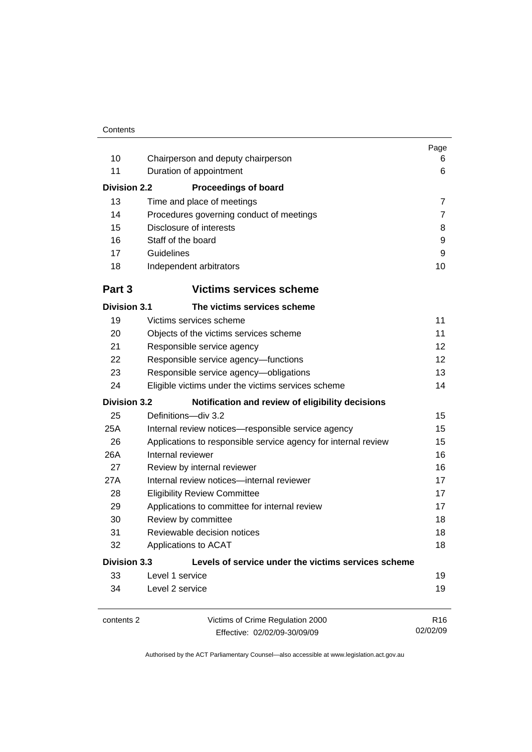|                               |                                                                | Page<br>6                   |  |
|-------------------------------|----------------------------------------------------------------|-----------------------------|--|
| 10                            | Chairperson and deputy chairperson                             |                             |  |
| 11<br>Duration of appointment |                                                                |                             |  |
| <b>Division 2.2</b>           | <b>Proceedings of board</b>                                    |                             |  |
| 13                            | Time and place of meetings                                     | $\overline{7}$              |  |
| 14                            | Procedures governing conduct of meetings                       | $\overline{7}$              |  |
| 15                            | Disclosure of interests                                        | 8                           |  |
| 16                            | Staff of the board                                             | 9                           |  |
| 17                            | Guidelines                                                     | 9                           |  |
| 18                            | Independent arbitrators                                        | 10                          |  |
| Part 3                        | <b>Victims services scheme</b>                                 |                             |  |
| <b>Division 3.1</b>           | The victims services scheme                                    |                             |  |
| 19                            | Victims services scheme                                        | 11                          |  |
| 20                            | Objects of the victims services scheme                         | 11                          |  |
| 21                            | Responsible service agency                                     | 12                          |  |
| 22                            | Responsible service agency-functions                           | 12                          |  |
| 23                            | Responsible service agency-obligations                         |                             |  |
| 24                            | 14<br>Eligible victims under the victims services scheme       |                             |  |
| <b>Division 3.2</b>           | Notification and review of eligibility decisions               |                             |  |
| 25                            | Definitions-div 3.2                                            | 15                          |  |
| 25A                           | Internal review notices-responsible service agency             | 15                          |  |
| 26                            | Applications to responsible service agency for internal review | 15                          |  |
| 26A                           | Internal reviewer                                              | 16                          |  |
| 27                            | Review by internal reviewer                                    | 16                          |  |
| 27A                           | Internal review notices-internal reviewer                      | 17                          |  |
| 28                            | <b>Eligibility Review Committee</b>                            | 17                          |  |
| 29                            | Applications to committee for internal review                  | 17                          |  |
| 30                            | Review by committee<br>18                                      |                             |  |
| 31                            | Reviewable decision notices                                    | 18                          |  |
| 32                            | 18<br>Applications to ACAT                                     |                             |  |
| <b>Division 3.3</b>           | Levels of service under the victims services scheme            |                             |  |
| 33                            | Level 1 service                                                | 19                          |  |
| 34                            | Level 2 service                                                | 19                          |  |
| contents 2                    | Victims of Crime Regulation 2000                               | R <sub>16</sub><br>02/02/09 |  |
|                               | Effective: 02/02/09-30/09/09                                   |                             |  |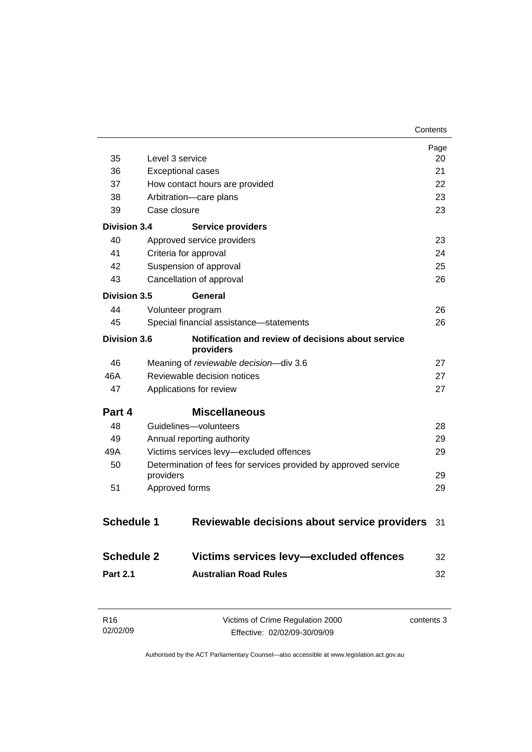|                            |                                                                 | Page<br>20 |  |
|----------------------------|-----------------------------------------------------------------|------------|--|
| 35                         | Level 3 service                                                 |            |  |
| 36                         | <b>Exceptional cases</b>                                        | 21         |  |
| 37                         | How contact hours are provided                                  | 22         |  |
| 38                         | Arbitration-care plans                                          | 23         |  |
| 39                         | Case closure                                                    | 23         |  |
| <b>Division 3.4</b>        | <b>Service providers</b>                                        |            |  |
| 40                         | Approved service providers                                      | 23         |  |
| 41                         | Criteria for approval                                           | 24         |  |
| 42                         | Suspension of approval                                          | 25         |  |
| 43                         | Cancellation of approval                                        | 26         |  |
| Division 3.5               | General                                                         |            |  |
| 44                         | Volunteer program                                               | 26         |  |
| 45                         | Special financial assistance-statements                         | 26         |  |
| <b>Division 3.6</b>        | Notification and review of decisions about service<br>providers |            |  |
| 46                         | Meaning of reviewable decision-div 3.6<br>27                    |            |  |
| 46A                        | Reviewable decision notices<br>27                               |            |  |
| 47                         | Applications for review<br>27                                   |            |  |
| Part 4                     | <b>Miscellaneous</b>                                            |            |  |
| 48                         | Guidelines-volunteers                                           | 28         |  |
| 49                         | Annual reporting authority                                      | 29         |  |
| 49A                        | Victims services levy-excluded offences<br>29                   |            |  |
| 50                         | Determination of fees for services provided by approved service |            |  |
|                            | providers<br>29                                                 |            |  |
| Approved forms<br>29<br>51 |                                                                 |            |  |
| <b>Schedule 1</b>          | Reviewable decisions about service providers                    | 31         |  |
| <b>Schedule 2</b>          | Victims services levy-excluded offences                         | 32         |  |
| <b>Part 2.1</b>            | <b>Australian Road Rules</b>                                    | 32         |  |
|                            |                                                                 |            |  |

| R16      | Victims of Crime Regulation 2000 | contents 3 |
|----------|----------------------------------|------------|
| 02/02/09 | Effective: 02/02/09-30/09/09     |            |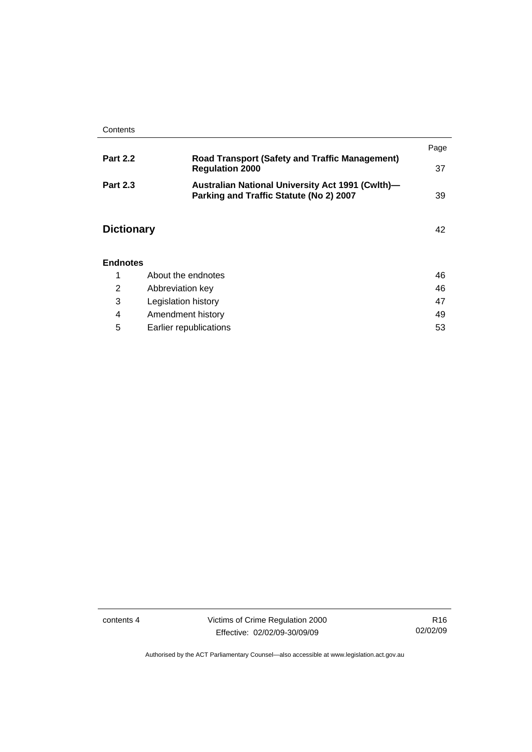|                   |                                                                                             | Page |
|-------------------|---------------------------------------------------------------------------------------------|------|
| <b>Part 2.2</b>   | <b>Road Transport (Safety and Traffic Management)</b><br><b>Regulation 2000</b>             | 37   |
| <b>Part 2.3</b>   | Australian National University Act 1991 (Cwlth)-<br>Parking and Traffic Statute (No 2) 2007 | 39   |
| <b>Dictionary</b> |                                                                                             | 42   |
| <b>Endnotes</b>   |                                                                                             |      |
|                   | About the endnotes                                                                          | 46   |

|   | Abbreviation key       | 46 |
|---|------------------------|----|
|   | Legislation history    | 47 |
| 4 | Amendment history      | 49 |
| 5 | Earlier republications | 53 |

contents 4 Victims of Crime Regulation 2000 Effective: 02/02/09-30/09/09

R16 02/02/09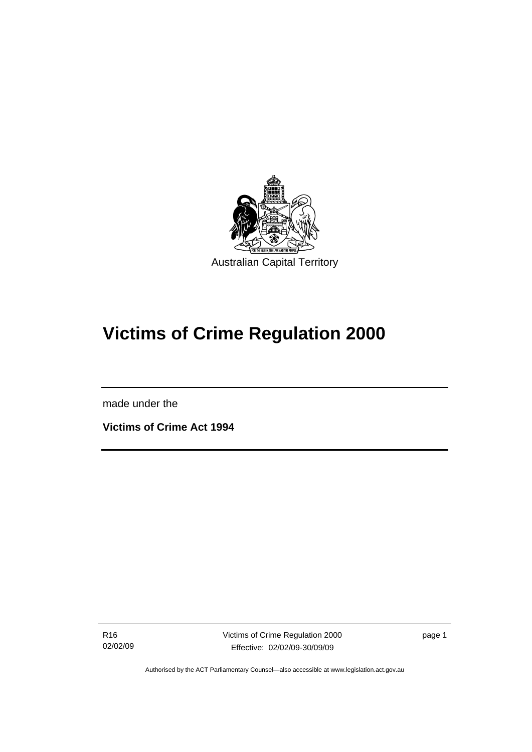<span id="page-6-0"></span>

# **Victims of Crime Regulation 2000**

made under the

I

**Victims of Crime Act 1994** 

R16 02/02/09 Victims of Crime Regulation 2000 Effective: 02/02/09-30/09/09

page 1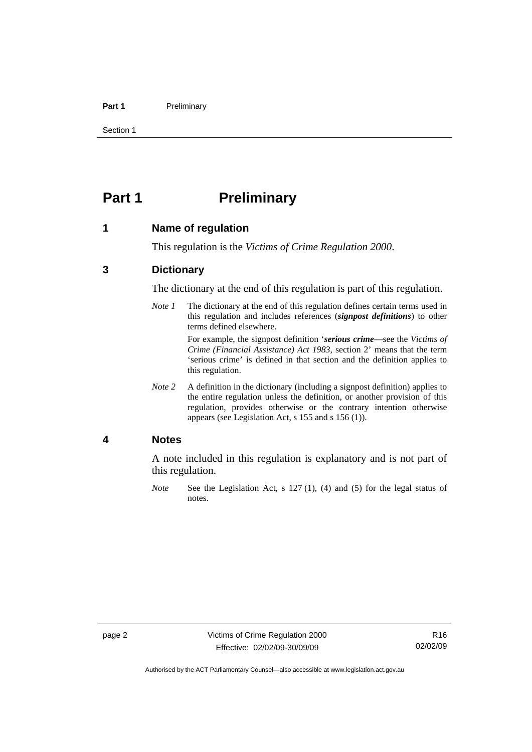#### <span id="page-7-0"></span>Part 1 **Preliminary**

Section 1

# **Part 1** Preliminary

#### **1 Name of regulation**

This regulation is the *Victims of Crime Regulation 2000*.

### **3 Dictionary**

The dictionary at the end of this regulation is part of this regulation.

*Note 1* The dictionary at the end of this regulation defines certain terms used in this regulation and includes references (*signpost definitions*) to other terms defined elsewhere.

> For example, the signpost definition '*serious crime*—see the *Victims of Crime (Financial Assistance) Act 1983*, section 2' means that the term 'serious crime' is defined in that section and the definition applies to this regulation.

*Note 2* A definition in the dictionary (including a signpost definition) applies to the entire regulation unless the definition, or another provision of this regulation, provides otherwise or the contrary intention otherwise appears (see Legislation Act, s 155 and s 156 (1)).

#### **4 Notes**

A note included in this regulation is explanatory and is not part of this regulation.

*Note* See the Legislation Act, s 127 (1), (4) and (5) for the legal status of notes.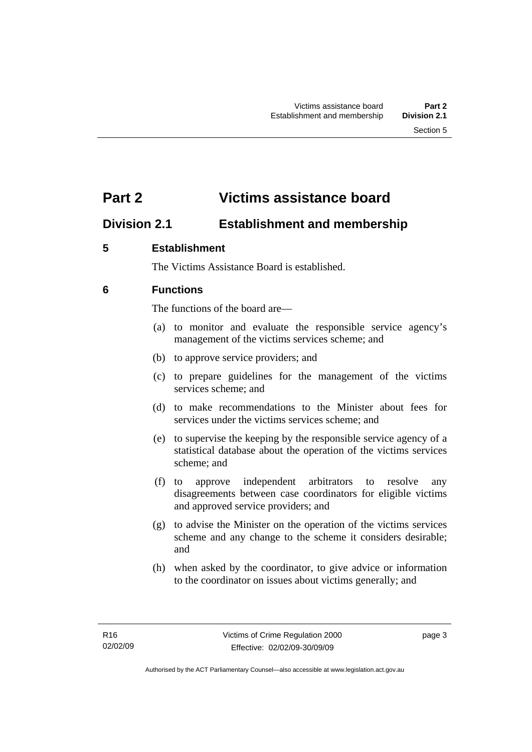# <span id="page-8-0"></span>**Part 2 Victims assistance board**

# **Division 2.1 Establishment and membership**

# **5 Establishment**

The Victims Assistance Board is established.

# **6 Functions**

The functions of the board are—

- (a) to monitor and evaluate the responsible service agency's management of the victims services scheme; and
- (b) to approve service providers; and
- (c) to prepare guidelines for the management of the victims services scheme; and
- (d) to make recommendations to the Minister about fees for services under the victims services scheme; and
- (e) to supervise the keeping by the responsible service agency of a statistical database about the operation of the victims services scheme; and
- (f) to approve independent arbitrators to resolve any disagreements between case coordinators for eligible victims and approved service providers; and
- (g) to advise the Minister on the operation of the victims services scheme and any change to the scheme it considers desirable; and
- (h) when asked by the coordinator, to give advice or information to the coordinator on issues about victims generally; and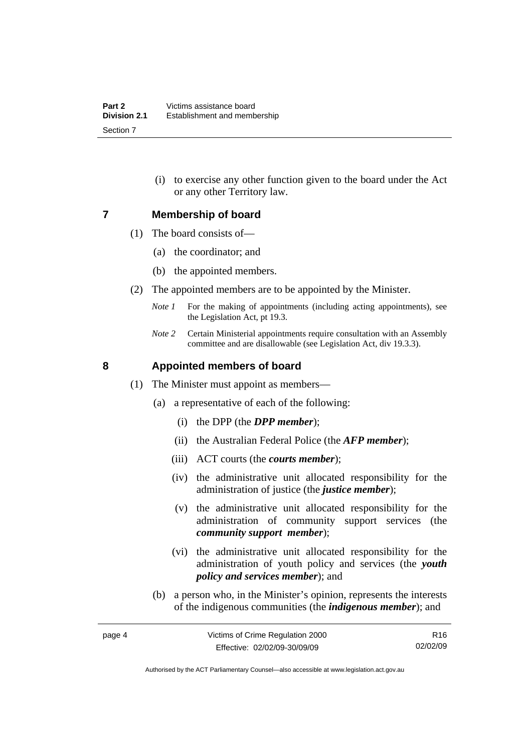(i) to exercise any other function given to the board under the Act or any other Territory law.

#### <span id="page-9-0"></span>**7 Membership of board**

- (1) The board consists of—
	- (a) the coordinator; and
	- (b) the appointed members.
- (2) The appointed members are to be appointed by the Minister.
	- *Note 1* For the making of appointments (including acting appointments), see the Legislation Act, pt 19.3.
	- *Note 2* Certain Ministerial appointments require consultation with an Assembly committee and are disallowable (see Legislation Act, div 19.3.3).

#### **8 Appointed members of board**

- (1) The Minister must appoint as members—
	- (a) a representative of each of the following:
		- (i) the DPP (the *DPP member*);
		- (ii) the Australian Federal Police (the *AFP member*);
		- (iii) ACT courts (the *courts member*);
		- (iv) the administrative unit allocated responsibility for the administration of justice (the *justice member*);
		- (v) the administrative unit allocated responsibility for the administration of community support services (the *community support member*);
		- (vi) the administrative unit allocated responsibility for the administration of youth policy and services (the *youth policy and services member*); and
	- (b) a person who, in the Minister's opinion, represents the interests of the indigenous communities (the *indigenous member*); and

Authorised by the ACT Parliamentary Counsel—also accessible at www.legislation.act.gov.au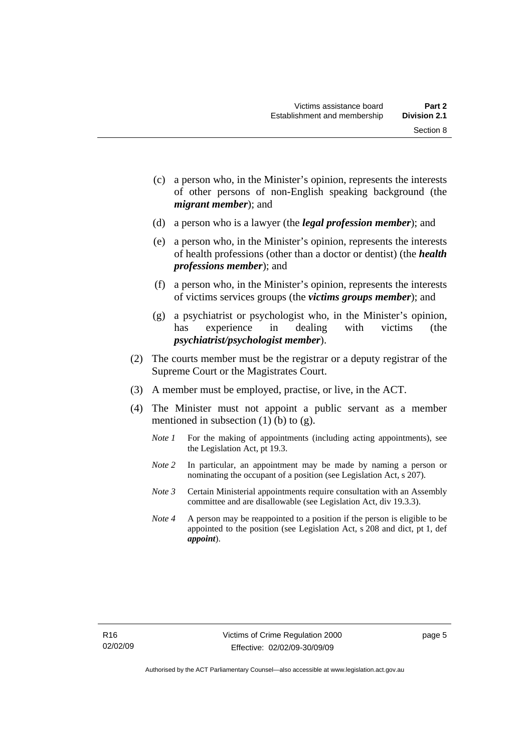Section 8

- (c) a person who, in the Minister's opinion, represents the interests of other persons of non-English speaking background (the
- (d) a person who is a lawyer (the *legal profession member*); and

*migrant member*); and

- (e) a person who, in the Minister's opinion, represents the interests of health professions (other than a doctor or dentist) (the *health professions member*); and
- (f) a person who, in the Minister's opinion, represents the interests of victims services groups (the *victims groups member*); and
- (g) a psychiatrist or psychologist who, in the Minister's opinion, has experience in dealing with victims (the *psychiatrist/psychologist member*).
- (2) The courts member must be the registrar or a deputy registrar of the Supreme Court or the Magistrates Court.
- (3) A member must be employed, practise, or live, in the ACT.
- (4) The Minister must not appoint a public servant as a member mentioned in subsection  $(1)$  (b) to  $(g)$ .
	- *Note 1* For the making of appointments (including acting appointments), see the Legislation Act, pt 19.3.
	- *Note 2* In particular, an appointment may be made by naming a person or nominating the occupant of a position (see Legislation Act, s 207).
	- *Note 3* Certain Ministerial appointments require consultation with an Assembly committee and are disallowable (see Legislation Act, div 19.3.3).
	- *Note 4* A person may be reappointed to a position if the person is eligible to be appointed to the position (see Legislation Act, s 208 and dict, pt 1, def *appoint*).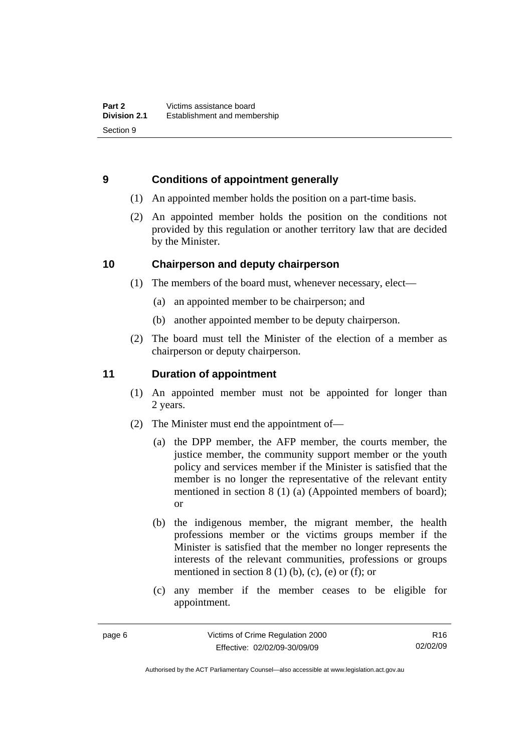# <span id="page-11-0"></span>**9 Conditions of appointment generally**

- (1) An appointed member holds the position on a part-time basis.
- (2) An appointed member holds the position on the conditions not provided by this regulation or another territory law that are decided by the Minister.

# **10 Chairperson and deputy chairperson**

- (1) The members of the board must, whenever necessary, elect—
	- (a) an appointed member to be chairperson; and
	- (b) another appointed member to be deputy chairperson.
- (2) The board must tell the Minister of the election of a member as chairperson or deputy chairperson.

# **11 Duration of appointment**

- (1) An appointed member must not be appointed for longer than 2 years.
- (2) The Minister must end the appointment of—
	- (a) the DPP member, the AFP member, the courts member, the justice member, the community support member or the youth policy and services member if the Minister is satisfied that the member is no longer the representative of the relevant entity mentioned in section 8 (1) (a) (Appointed members of board); or
	- (b) the indigenous member, the migrant member, the health professions member or the victims groups member if the Minister is satisfied that the member no longer represents the interests of the relevant communities, professions or groups mentioned in section  $8(1)$  (b), (c), (e) or (f); or
	- (c) any member if the member ceases to be eligible for appointment.

R16 02/02/09

Authorised by the ACT Parliamentary Counsel—also accessible at www.legislation.act.gov.au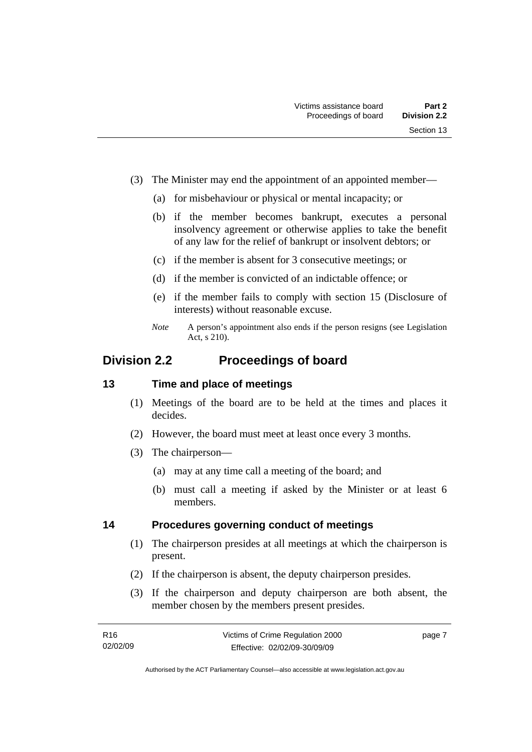- <span id="page-12-0"></span> (3) The Minister may end the appointment of an appointed member—
	- (a) for misbehaviour or physical or mental incapacity; or
	- (b) if the member becomes bankrupt, executes a personal insolvency agreement or otherwise applies to take the benefit of any law for the relief of bankrupt or insolvent debtors; or
	- (c) if the member is absent for 3 consecutive meetings; or
	- (d) if the member is convicted of an indictable offence; or
	- (e) if the member fails to comply with section 15 (Disclosure of interests) without reasonable excuse.
	- *Note* A person's appointment also ends if the person resigns (see Legislation Act, s 210).

# **Division 2.2 Proceedings of board**

#### **13 Time and place of meetings**

- (1) Meetings of the board are to be held at the times and places it decides.
- (2) However, the board must meet at least once every 3 months.
- (3) The chairperson—
	- (a) may at any time call a meeting of the board; and
	- (b) must call a meeting if asked by the Minister or at least 6 members.

#### **14 Procedures governing conduct of meetings**

- (1) The chairperson presides at all meetings at which the chairperson is present.
- (2) If the chairperson is absent, the deputy chairperson presides.
- (3) If the chairperson and deputy chairperson are both absent, the member chosen by the members present presides.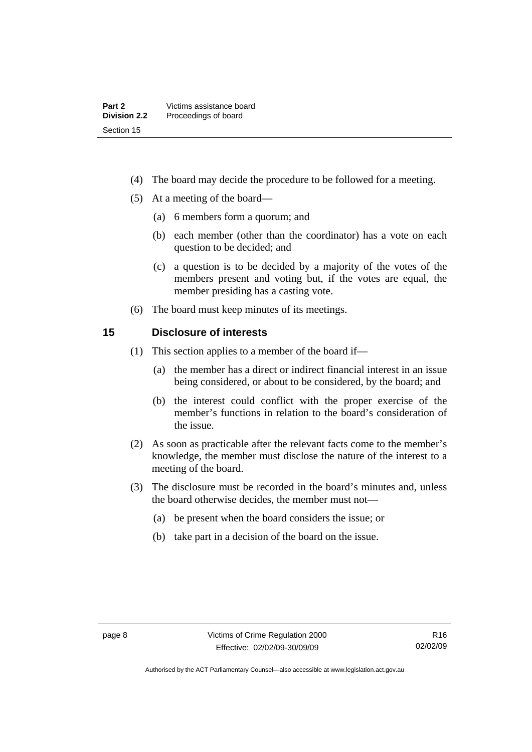- <span id="page-13-0"></span>(4) The board may decide the procedure to be followed for a meeting.
- (5) At a meeting of the board—
	- (a) 6 members form a quorum; and
	- (b) each member (other than the coordinator) has a vote on each question to be decided; and
	- (c) a question is to be decided by a majority of the votes of the members present and voting but, if the votes are equal, the member presiding has a casting vote.
- (6) The board must keep minutes of its meetings.

#### **15 Disclosure of interests**

- (1) This section applies to a member of the board if—
	- (a) the member has a direct or indirect financial interest in an issue being considered, or about to be considered, by the board; and
	- (b) the interest could conflict with the proper exercise of the member's functions in relation to the board's consideration of the issue.
- (2) As soon as practicable after the relevant facts come to the member's knowledge, the member must disclose the nature of the interest to a meeting of the board.
- (3) The disclosure must be recorded in the board's minutes and, unless the board otherwise decides, the member must not—
	- (a) be present when the board considers the issue; or
	- (b) take part in a decision of the board on the issue.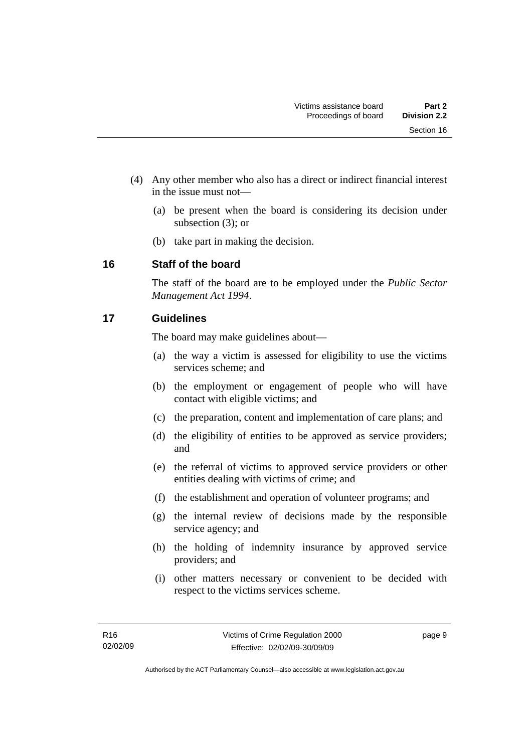- <span id="page-14-0"></span> (4) Any other member who also has a direct or indirect financial interest in the issue must not—
	- (a) be present when the board is considering its decision under subsection (3); or
	- (b) take part in making the decision.

# **16 Staff of the board**

The staff of the board are to be employed under the *Public Sector Management Act 1994*.

# **17 Guidelines**

The board may make guidelines about—

- (a) the way a victim is assessed for eligibility to use the victims services scheme; and
- (b) the employment or engagement of people who will have contact with eligible victims; and
- (c) the preparation, content and implementation of care plans; and
- (d) the eligibility of entities to be approved as service providers; and
- (e) the referral of victims to approved service providers or other entities dealing with victims of crime; and
- (f) the establishment and operation of volunteer programs; and
- (g) the internal review of decisions made by the responsible service agency; and
- (h) the holding of indemnity insurance by approved service providers; and
- (i) other matters necessary or convenient to be decided with respect to the victims services scheme.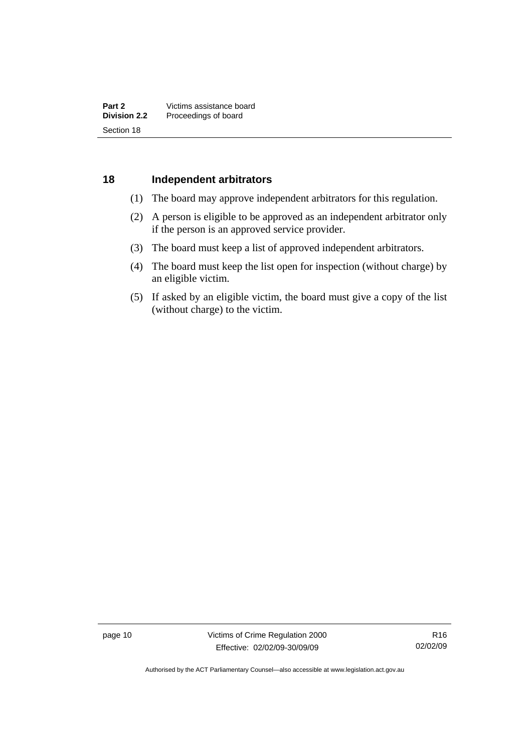#### <span id="page-15-0"></span>**18 Independent arbitrators**

- (1) The board may approve independent arbitrators for this regulation.
- (2) A person is eligible to be approved as an independent arbitrator only if the person is an approved service provider.
- (3) The board must keep a list of approved independent arbitrators.
- (4) The board must keep the list open for inspection (without charge) by an eligible victim.
- (5) If asked by an eligible victim, the board must give a copy of the list (without charge) to the victim.

page 10 Victims of Crime Regulation 2000 Effective: 02/02/09-30/09/09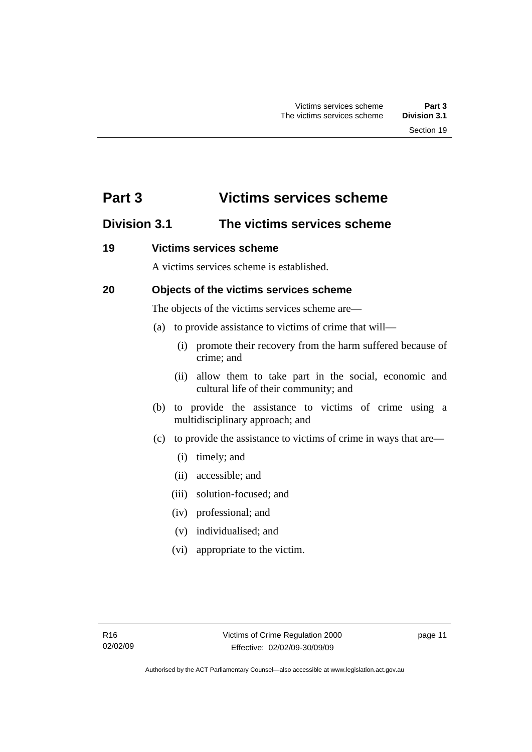# <span id="page-16-0"></span>**Part 3 Victims services scheme**

# **Division 3.1 The victims services scheme**

### **19 Victims services scheme**

A victims services scheme is established.

# **20 Objects of the victims services scheme**

The objects of the victims services scheme are—

- (a) to provide assistance to victims of crime that will—
	- (i) promote their recovery from the harm suffered because of crime; and
	- (ii) allow them to take part in the social, economic and cultural life of their community; and
- (b) to provide the assistance to victims of crime using a multidisciplinary approach; and
- (c) to provide the assistance to victims of crime in ways that are—
	- (i) timely; and
	- (ii) accessible; and
	- (iii) solution-focused; and
	- (iv) professional; and
	- (v) individualised; and
	- (vi) appropriate to the victim.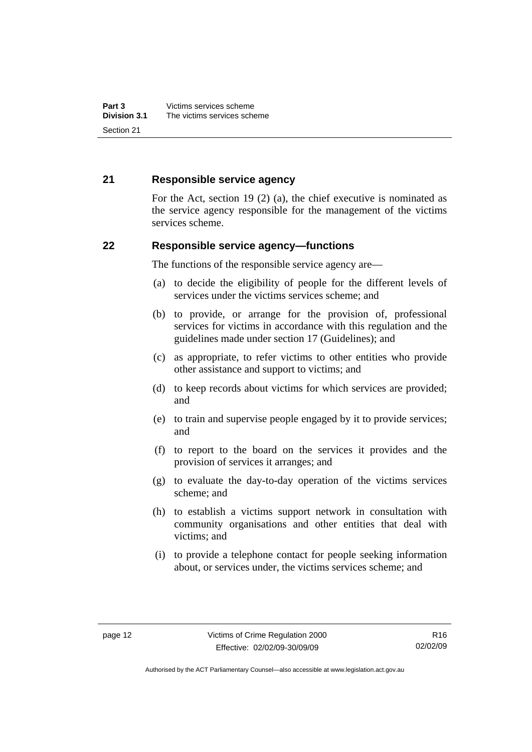#### <span id="page-17-0"></span>**21 Responsible service agency**

For the Act, section 19 (2) (a), the chief executive is nominated as the service agency responsible for the management of the victims services scheme.

#### **22 Responsible service agency—functions**

The functions of the responsible service agency are—

- (a) to decide the eligibility of people for the different levels of services under the victims services scheme; and
- (b) to provide, or arrange for the provision of, professional services for victims in accordance with this regulation and the guidelines made under section 17 (Guidelines); and
- (c) as appropriate, to refer victims to other entities who provide other assistance and support to victims; and
- (d) to keep records about victims for which services are provided; and
- (e) to train and supervise people engaged by it to provide services; and
- (f) to report to the board on the services it provides and the provision of services it arranges; and
- (g) to evaluate the day-to-day operation of the victims services scheme; and
- (h) to establish a victims support network in consultation with community organisations and other entities that deal with victims; and
- (i) to provide a telephone contact for people seeking information about, or services under, the victims services scheme; and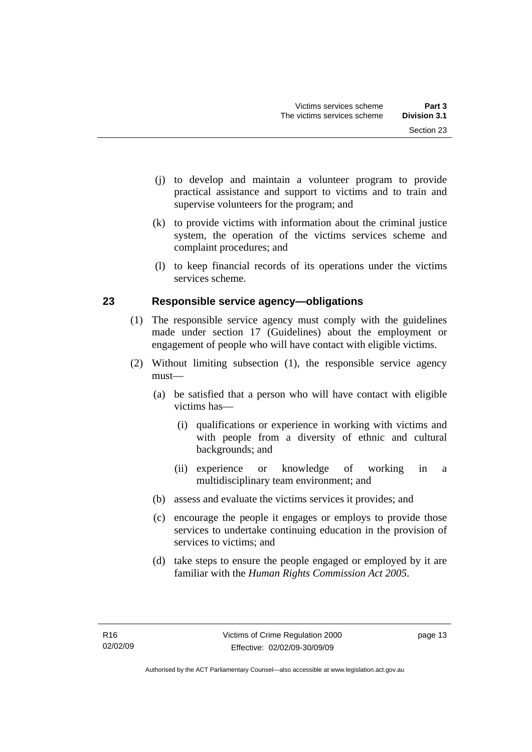- <span id="page-18-0"></span> (j) to develop and maintain a volunteer program to provide practical assistance and support to victims and to train and supervise volunteers for the program; and
- (k) to provide victims with information about the criminal justice system, the operation of the victims services scheme and complaint procedures; and
- (l) to keep financial records of its operations under the victims services scheme.

# **23 Responsible service agency—obligations**

- (1) The responsible service agency must comply with the guidelines made under section 17 (Guidelines) about the employment or engagement of people who will have contact with eligible victims.
- (2) Without limiting subsection (1), the responsible service agency must—
	- (a) be satisfied that a person who will have contact with eligible victims has—
		- (i) qualifications or experience in working with victims and with people from a diversity of ethnic and cultural backgrounds; and
		- (ii) experience or knowledge of working in a multidisciplinary team environment; and
	- (b) assess and evaluate the victims services it provides; and
	- (c) encourage the people it engages or employs to provide those services to undertake continuing education in the provision of services to victims; and
	- (d) take steps to ensure the people engaged or employed by it are familiar with the *Human Rights Commission Act 2005*.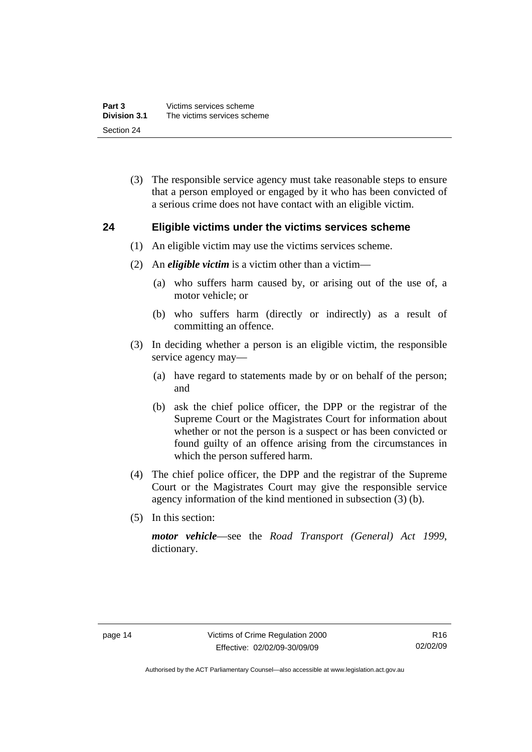<span id="page-19-0"></span> (3) The responsible service agency must take reasonable steps to ensure that a person employed or engaged by it who has been convicted of a serious crime does not have contact with an eligible victim.

#### **24 Eligible victims under the victims services scheme**

- (1) An eligible victim may use the victims services scheme.
- (2) An *eligible victim* is a victim other than a victim—
	- (a) who suffers harm caused by, or arising out of the use of, a motor vehicle; or
	- (b) who suffers harm (directly or indirectly) as a result of committing an offence.
- (3) In deciding whether a person is an eligible victim, the responsible service agency may—
	- (a) have regard to statements made by or on behalf of the person; and
	- (b) ask the chief police officer, the DPP or the registrar of the Supreme Court or the Magistrates Court for information about whether or not the person is a suspect or has been convicted or found guilty of an offence arising from the circumstances in which the person suffered harm.
- (4) The chief police officer, the DPP and the registrar of the Supreme Court or the Magistrates Court may give the responsible service agency information of the kind mentioned in subsection (3) (b).
- (5) In this section:

*motor vehicle*—see the *Road Transport (General) Act 1999*, dictionary.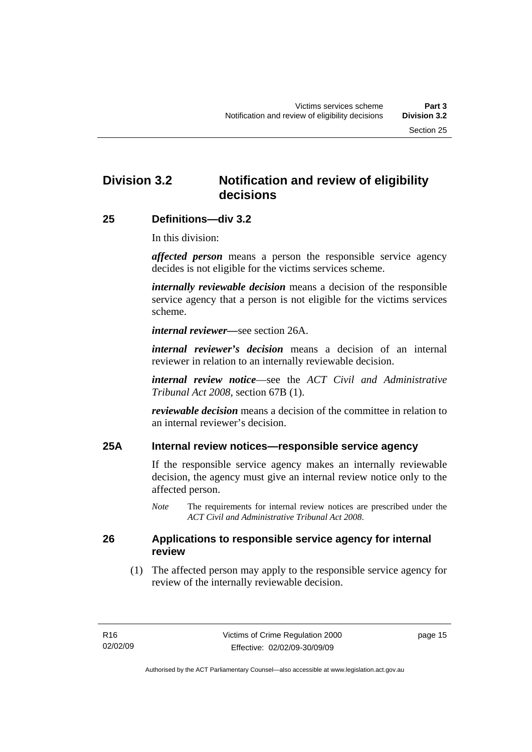# <span id="page-20-0"></span>**Division 3.2 Notification and review of eligibility decisions**

#### **25 Definitions—div 3.2**

In this division:

*affected person* means a person the responsible service agency decides is not eligible for the victims services scheme.

*internally reviewable decision* means a decision of the responsible service agency that a person is not eligible for the victims services scheme.

*internal reviewer—*see section 26A.

*internal reviewer's decision* means a decision of an internal reviewer in relation to an internally reviewable decision.

*internal review notice*—see the *ACT Civil and Administrative Tribunal Act 2008*, section 67B (1).

*reviewable decision* means a decision of the committee in relation to an internal reviewer's decision.

### **25A Internal review notices—responsible service agency**

If the responsible service agency makes an internally reviewable decision, the agency must give an internal review notice only to the affected person.

*Note* The requirements for internal review notices are prescribed under the *ACT Civil and Administrative Tribunal Act 2008*.

#### **26 Applications to responsible service agency for internal review**

 (1) The affected person may apply to the responsible service agency for review of the internally reviewable decision.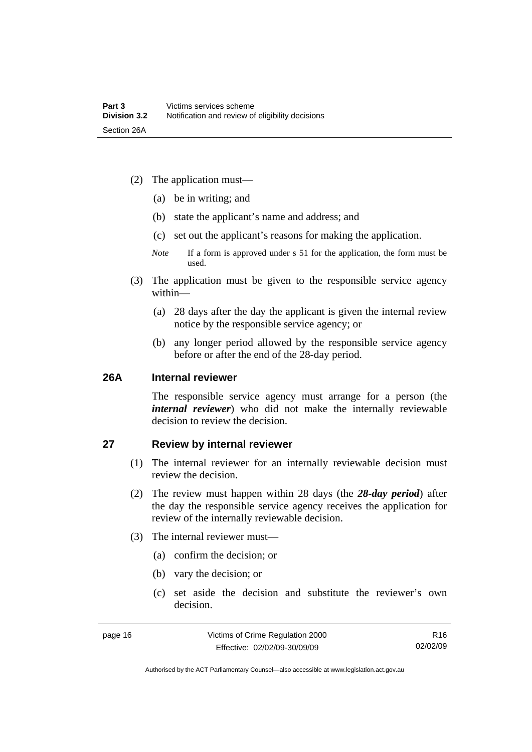- <span id="page-21-0"></span> (2) The application must—
	- (a) be in writing; and
	- (b) state the applicant's name and address; and
	- (c) set out the applicant's reasons for making the application.
	- *Note* If a form is approved under s 51 for the application, the form must be used.
- (3) The application must be given to the responsible service agency within—
	- (a) 28 days after the day the applicant is given the internal review notice by the responsible service agency; or
	- (b) any longer period allowed by the responsible service agency before or after the end of the 28-day period.

#### **26A Internal reviewer**

The responsible service agency must arrange for a person (the *internal reviewer*) who did not make the internally reviewable decision to review the decision.

#### **27 Review by internal reviewer**

- (1) The internal reviewer for an internally reviewable decision must review the decision.
- (2) The review must happen within 28 days (the *28-day period*) after the day the responsible service agency receives the application for review of the internally reviewable decision.
- (3) The internal reviewer must—
	- (a) confirm the decision; or
	- (b) vary the decision; or
	- (c) set aside the decision and substitute the reviewer's own decision.

R16 02/02/09

Authorised by the ACT Parliamentary Counsel—also accessible at www.legislation.act.gov.au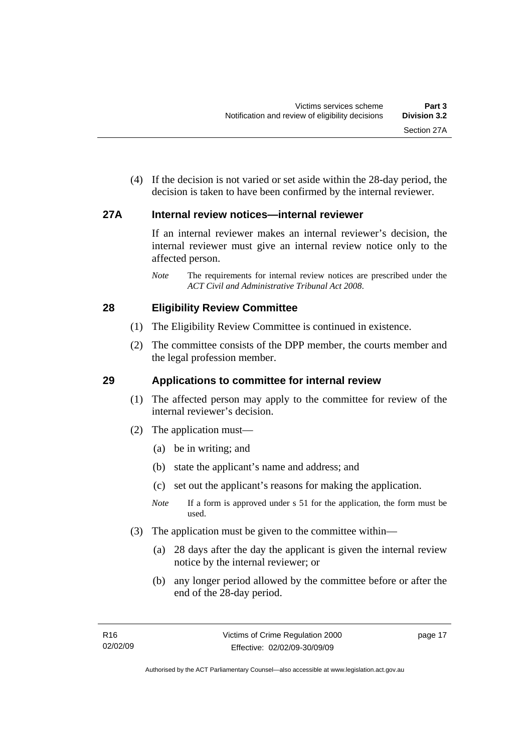<span id="page-22-0"></span> (4) If the decision is not varied or set aside within the 28-day period, the decision is taken to have been confirmed by the internal reviewer.

### **27A Internal review notices—internal reviewer**

If an internal reviewer makes an internal reviewer's decision, the internal reviewer must give an internal review notice only to the affected person.

*Note* The requirements for internal review notices are prescribed under the *ACT Civil and Administrative Tribunal Act 2008*.

### **28 Eligibility Review Committee**

- (1) The Eligibility Review Committee is continued in existence.
- (2) The committee consists of the DPP member, the courts member and the legal profession member.

# **29 Applications to committee for internal review**

- (1) The affected person may apply to the committee for review of the internal reviewer's decision.
- (2) The application must—
	- (a) be in writing; and
	- (b) state the applicant's name and address; and
	- (c) set out the applicant's reasons for making the application.
	- *Note* If a form is approved under s 51 for the application, the form must be used.
- (3) The application must be given to the committee within—
	- (a) 28 days after the day the applicant is given the internal review notice by the internal reviewer; or
	- (b) any longer period allowed by the committee before or after the end of the 28-day period.

page 17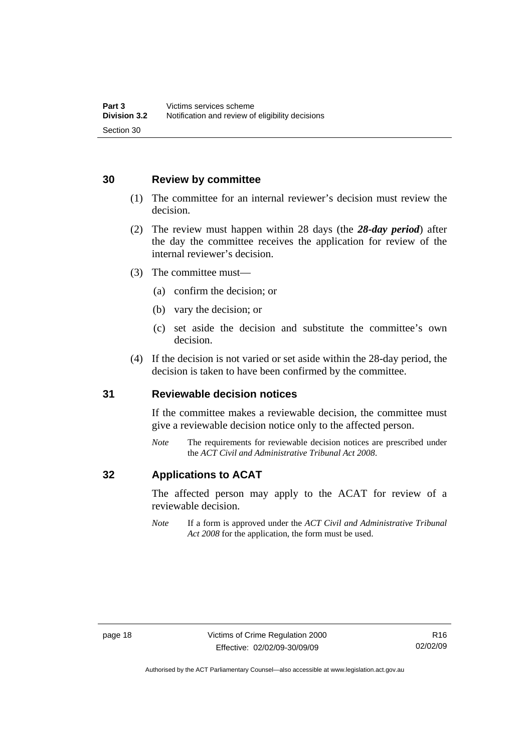#### <span id="page-23-0"></span>**30 Review by committee**

- (1) The committee for an internal reviewer's decision must review the decision.
- (2) The review must happen within 28 days (the *28-day period*) after the day the committee receives the application for review of the internal reviewer's decision.
- (3) The committee must—
	- (a) confirm the decision; or
	- (b) vary the decision; or
	- (c) set aside the decision and substitute the committee's own decision.
- (4) If the decision is not varied or set aside within the 28-day period, the decision is taken to have been confirmed by the committee.

#### **31 Reviewable decision notices**

If the committee makes a reviewable decision, the committee must give a reviewable decision notice only to the affected person.

*Note* The requirements for reviewable decision notices are prescribed under the *ACT Civil and Administrative Tribunal Act 2008*.

### **32 Applications to ACAT**

The affected person may apply to the ACAT for review of a reviewable decision.

*Note* If a form is approved under the *ACT Civil and Administrative Tribunal Act 2008* for the application, the form must be used.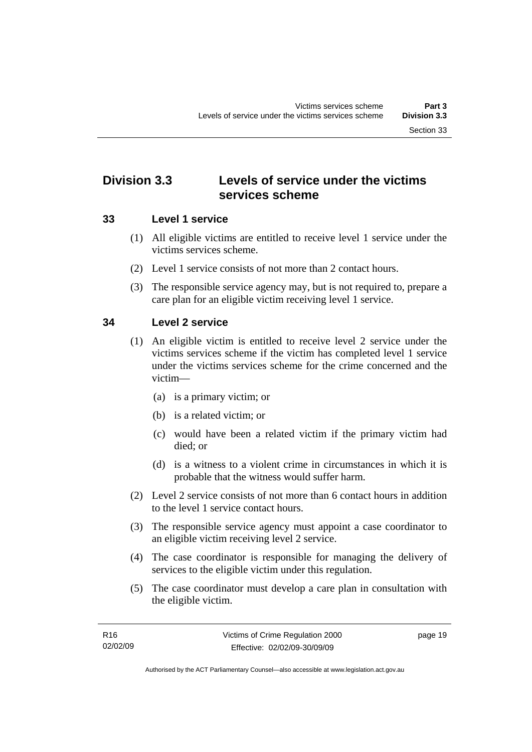# <span id="page-24-0"></span>**Division 3.3 Levels of service under the victims services scheme**

# **33 Level 1 service**

- (1) All eligible victims are entitled to receive level 1 service under the victims services scheme.
- (2) Level 1 service consists of not more than 2 contact hours.
- (3) The responsible service agency may, but is not required to, prepare a care plan for an eligible victim receiving level 1 service.

# **34 Level 2 service**

- (1) An eligible victim is entitled to receive level 2 service under the victims services scheme if the victim has completed level 1 service under the victims services scheme for the crime concerned and the victim—
	- (a) is a primary victim; or
	- (b) is a related victim; or
	- (c) would have been a related victim if the primary victim had died; or
	- (d) is a witness to a violent crime in circumstances in which it is probable that the witness would suffer harm.
- (2) Level 2 service consists of not more than 6 contact hours in addition to the level 1 service contact hours.
- (3) The responsible service agency must appoint a case coordinator to an eligible victim receiving level 2 service.
- (4) The case coordinator is responsible for managing the delivery of services to the eligible victim under this regulation.
- (5) The case coordinator must develop a care plan in consultation with the eligible victim.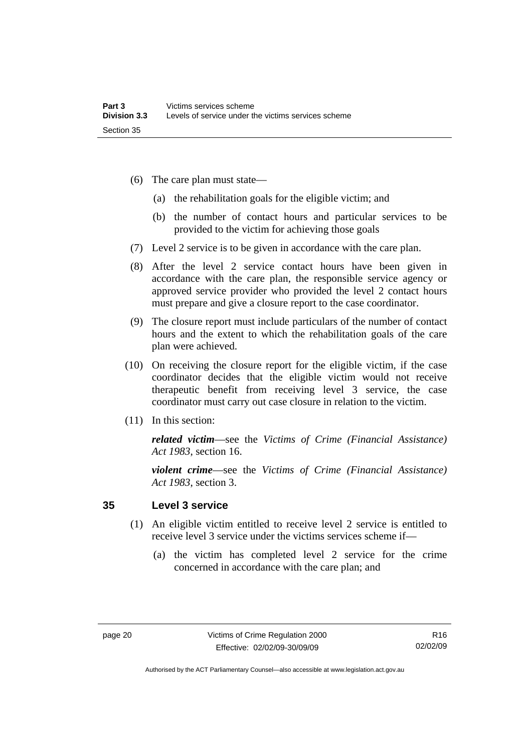- <span id="page-25-0"></span> (6) The care plan must state—
	- (a) the rehabilitation goals for the eligible victim; and
	- (b) the number of contact hours and particular services to be provided to the victim for achieving those goals
- (7) Level 2 service is to be given in accordance with the care plan.
- (8) After the level 2 service contact hours have been given in accordance with the care plan, the responsible service agency or approved service provider who provided the level 2 contact hours must prepare and give a closure report to the case coordinator.
- (9) The closure report must include particulars of the number of contact hours and the extent to which the rehabilitation goals of the care plan were achieved.
- (10) On receiving the closure report for the eligible victim, if the case coordinator decides that the eligible victim would not receive therapeutic benefit from receiving level 3 service, the case coordinator must carry out case closure in relation to the victim.
- (11) In this section:

*related victim*—see the *Victims of Crime (Financial Assistance) Act 1983*, section 16.

*violent crime*—see the *Victims of Crime (Financial Assistance) Act 1983*, section 3.

#### **35 Level 3 service**

- (1) An eligible victim entitled to receive level 2 service is entitled to receive level 3 service under the victims services scheme if—
	- (a) the victim has completed level 2 service for the crime concerned in accordance with the care plan; and

Authorised by the ACT Parliamentary Counsel—also accessible at www.legislation.act.gov.au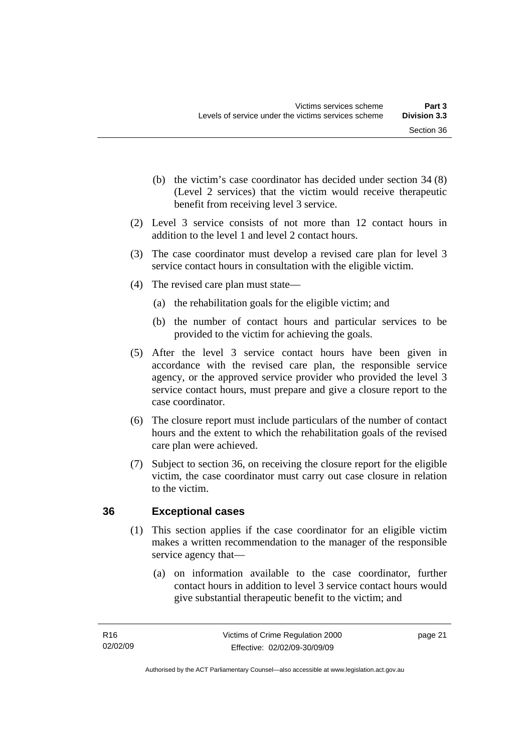- <span id="page-26-0"></span> (b) the victim's case coordinator has decided under section 34 (8) (Level 2 services) that the victim would receive therapeutic benefit from receiving level 3 service.
- (2) Level 3 service consists of not more than 12 contact hours in addition to the level 1 and level 2 contact hours.
- (3) The case coordinator must develop a revised care plan for level 3 service contact hours in consultation with the eligible victim.
- (4) The revised care plan must state—
	- (a) the rehabilitation goals for the eligible victim; and
	- (b) the number of contact hours and particular services to be provided to the victim for achieving the goals.
- (5) After the level 3 service contact hours have been given in accordance with the revised care plan, the responsible service agency, or the approved service provider who provided the level 3 service contact hours, must prepare and give a closure report to the case coordinator.
- (6) The closure report must include particulars of the number of contact hours and the extent to which the rehabilitation goals of the revised care plan were achieved.
- (7) Subject to section 36, on receiving the closure report for the eligible victim, the case coordinator must carry out case closure in relation to the victim.

# **36 Exceptional cases**

- (1) This section applies if the case coordinator for an eligible victim makes a written recommendation to the manager of the responsible service agency that—
	- (a) on information available to the case coordinator, further contact hours in addition to level 3 service contact hours would give substantial therapeutic benefit to the victim; and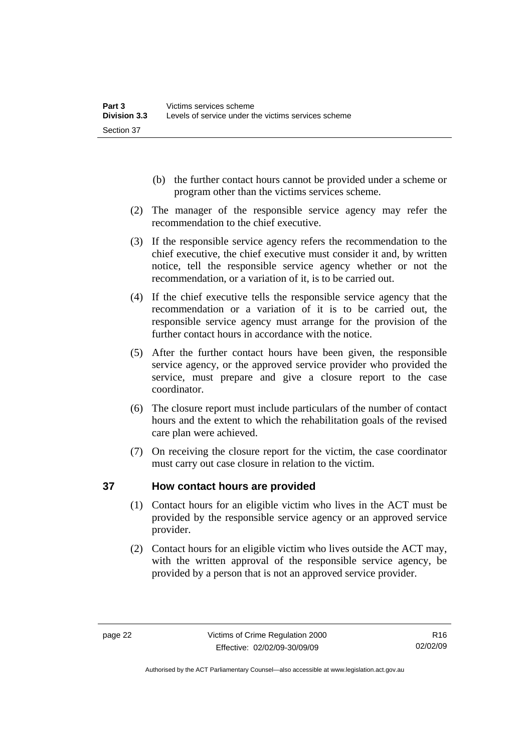- <span id="page-27-0"></span> (b) the further contact hours cannot be provided under a scheme or program other than the victims services scheme.
- (2) The manager of the responsible service agency may refer the recommendation to the chief executive.
- (3) If the responsible service agency refers the recommendation to the chief executive, the chief executive must consider it and, by written notice, tell the responsible service agency whether or not the recommendation, or a variation of it, is to be carried out.
- (4) If the chief executive tells the responsible service agency that the recommendation or a variation of it is to be carried out, the responsible service agency must arrange for the provision of the further contact hours in accordance with the notice.
- (5) After the further contact hours have been given, the responsible service agency, or the approved service provider who provided the service, must prepare and give a closure report to the case coordinator.
- (6) The closure report must include particulars of the number of contact hours and the extent to which the rehabilitation goals of the revised care plan were achieved.
- (7) On receiving the closure report for the victim, the case coordinator must carry out case closure in relation to the victim.

# **37 How contact hours are provided**

- (1) Contact hours for an eligible victim who lives in the ACT must be provided by the responsible service agency or an approved service provider.
- (2) Contact hours for an eligible victim who lives outside the ACT may, with the written approval of the responsible service agency, be provided by a person that is not an approved service provider.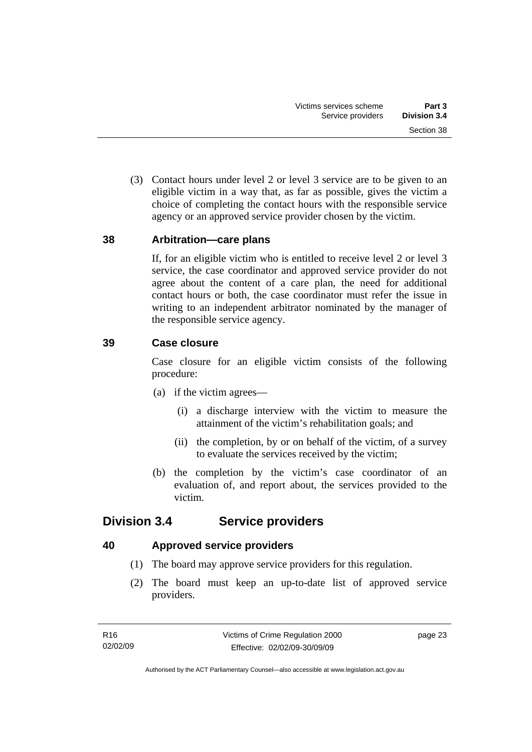<span id="page-28-0"></span> (3) Contact hours under level 2 or level 3 service are to be given to an eligible victim in a way that, as far as possible, gives the victim a choice of completing the contact hours with the responsible service agency or an approved service provider chosen by the victim.

### **38 Arbitration—care plans**

If, for an eligible victim who is entitled to receive level 2 or level 3 service, the case coordinator and approved service provider do not agree about the content of a care plan, the need for additional contact hours or both, the case coordinator must refer the issue in writing to an independent arbitrator nominated by the manager of the responsible service agency.

### **39 Case closure**

Case closure for an eligible victim consists of the following procedure:

- (a) if the victim agrees—
	- (i) a discharge interview with the victim to measure the attainment of the victim's rehabilitation goals; and
	- (ii) the completion, by or on behalf of the victim, of a survey to evaluate the services received by the victim;
- (b) the completion by the victim's case coordinator of an evaluation of, and report about, the services provided to the victim.

# **Division 3.4 Service providers**

# **40 Approved service providers**

- (1) The board may approve service providers for this regulation.
- (2) The board must keep an up-to-date list of approved service providers.

page 23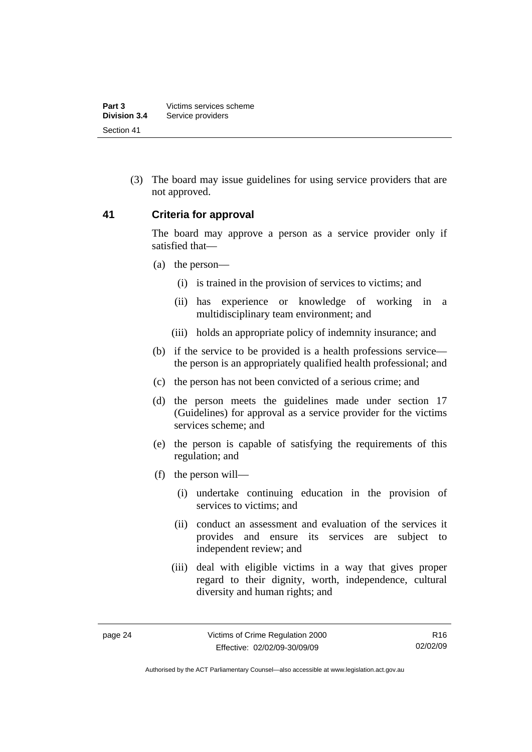<span id="page-29-0"></span> (3) The board may issue guidelines for using service providers that are not approved.

#### **41 Criteria for approval**

The board may approve a person as a service provider only if satisfied that—

- (a) the person—
	- (i) is trained in the provision of services to victims; and
	- (ii) has experience or knowledge of working in a multidisciplinary team environment; and
	- (iii) holds an appropriate policy of indemnity insurance; and
- (b) if the service to be provided is a health professions service the person is an appropriately qualified health professional; and
- (c) the person has not been convicted of a serious crime; and
- (d) the person meets the guidelines made under section 17 (Guidelines) for approval as a service provider for the victims services scheme; and
- (e) the person is capable of satisfying the requirements of this regulation; and
- (f) the person will—
	- (i) undertake continuing education in the provision of services to victims; and
	- (ii) conduct an assessment and evaluation of the services it provides and ensure its services are subject to independent review; and
	- (iii) deal with eligible victims in a way that gives proper regard to their dignity, worth, independence, cultural diversity and human rights; and

R16 02/02/09

Authorised by the ACT Parliamentary Counsel—also accessible at www.legislation.act.gov.au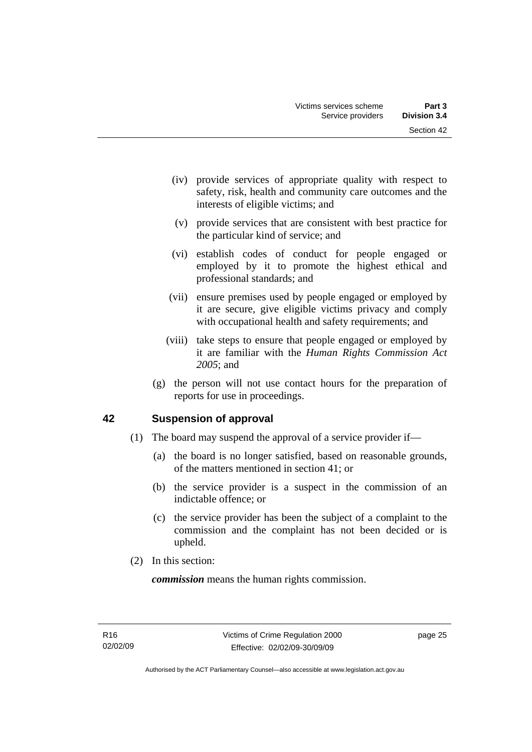- <span id="page-30-0"></span> (iv) provide services of appropriate quality with respect to safety, risk, health and community care outcomes and the interests of eligible victims; and
- (v) provide services that are consistent with best practice for the particular kind of service; and
- (vi) establish codes of conduct for people engaged or employed by it to promote the highest ethical and professional standards; and
- (vii) ensure premises used by people engaged or employed by it are secure, give eligible victims privacy and comply with occupational health and safety requirements; and
- (viii) take steps to ensure that people engaged or employed by it are familiar with the *Human Rights Commission Act 2005*; and
- (g) the person will not use contact hours for the preparation of reports for use in proceedings.

# **42 Suspension of approval**

- (1) The board may suspend the approval of a service provider if—
	- (a) the board is no longer satisfied, based on reasonable grounds, of the matters mentioned in section 41; or
	- (b) the service provider is a suspect in the commission of an indictable offence; or
	- (c) the service provider has been the subject of a complaint to the commission and the complaint has not been decided or is upheld.
- (2) In this section:

*commission* means the human rights commission.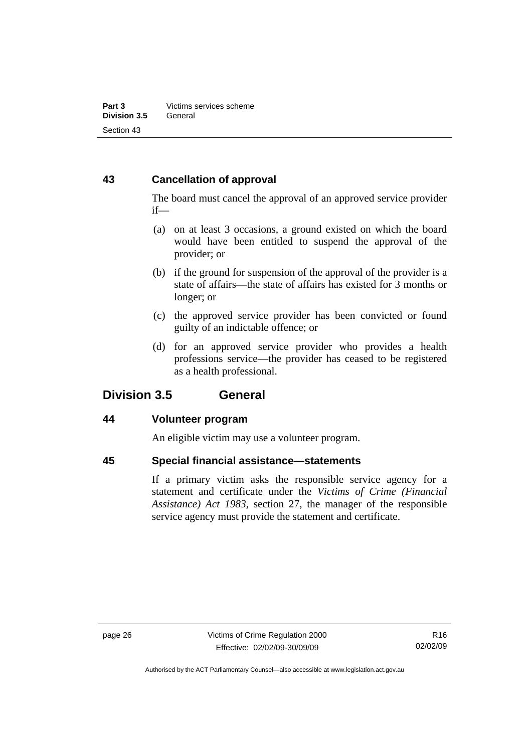# <span id="page-31-0"></span>**43 Cancellation of approval**

The board must cancel the approval of an approved service provider if—

- (a) on at least 3 occasions, a ground existed on which the board would have been entitled to suspend the approval of the provider; or
- (b) if the ground for suspension of the approval of the provider is a state of affairs—the state of affairs has existed for 3 months or longer; or
- (c) the approved service provider has been convicted or found guilty of an indictable offence; or
- (d) for an approved service provider who provides a health professions service—the provider has ceased to be registered as a health professional.

# **Division 3.5 General**

# **44 Volunteer program**

An eligible victim may use a volunteer program.

# **45 Special financial assistance—statements**

If a primary victim asks the responsible service agency for a statement and certificate under the *Victims of Crime (Financial Assistance) Act 1983*, section 27, the manager of the responsible service agency must provide the statement and certificate.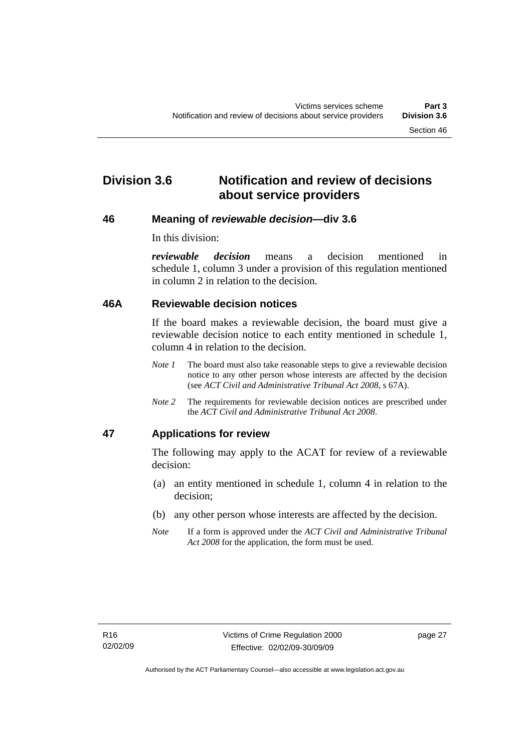# <span id="page-32-0"></span>**Division 3.6 Notification and review of decisions about service providers**

#### **46 Meaning of** *reviewable decision—***div 3.6**

In this division:

*reviewable decision* means a decision mentioned in schedule 1, column 3 under a provision of this regulation mentioned in column 2 in relation to the decision.

#### **46A Reviewable decision notices**

If the board makes a reviewable decision, the board must give a reviewable decision notice to each entity mentioned in schedule 1, column 4 in relation to the decision.

- *Note 1* The board must also take reasonable steps to give a reviewable decision notice to any other person whose interests are affected by the decision (see *ACT Civil and Administrative Tribunal Act 2008*, s 67A).
- *Note* 2 The requirements for reviewable decision notices are prescribed under the *ACT Civil and Administrative Tribunal Act 2008*.

# **47 Applications for review**

The following may apply to the ACAT for review of a reviewable decision:

- (a) an entity mentioned in schedule 1, column 4 in relation to the decision;
- (b) any other person whose interests are affected by the decision.
- *Note* If a form is approved under the *ACT Civil and Administrative Tribunal Act 2008* for the application, the form must be used.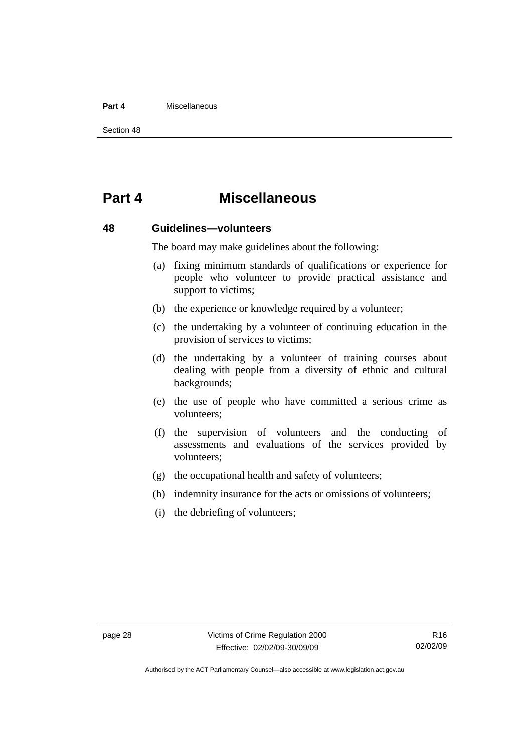#### <span id="page-33-0"></span>**Part 4** Miscellaneous

Section 48

# **Part 4 Miscellaneous**

#### **48 Guidelines—volunteers**

The board may make guidelines about the following:

- (a) fixing minimum standards of qualifications or experience for people who volunteer to provide practical assistance and support to victims;
- (b) the experience or knowledge required by a volunteer;
- (c) the undertaking by a volunteer of continuing education in the provision of services to victims;
- (d) the undertaking by a volunteer of training courses about dealing with people from a diversity of ethnic and cultural backgrounds;
- (e) the use of people who have committed a serious crime as volunteers;
- (f) the supervision of volunteers and the conducting of assessments and evaluations of the services provided by volunteers;
- (g) the occupational health and safety of volunteers;
- (h) indemnity insurance for the acts or omissions of volunteers;
- (i) the debriefing of volunteers;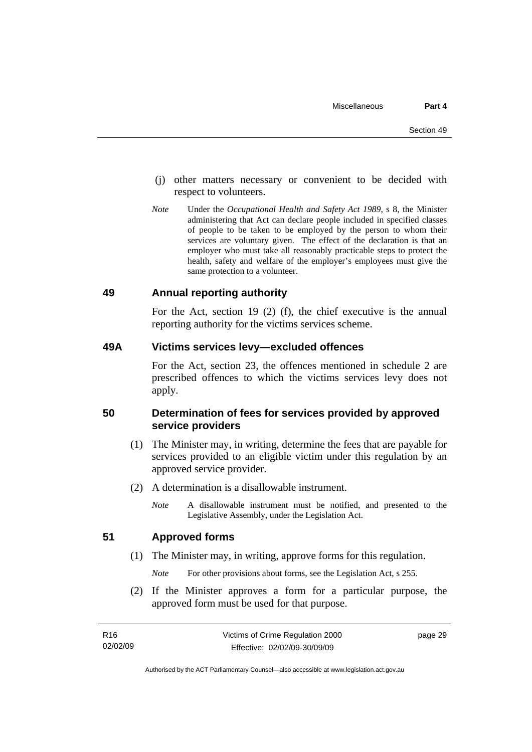- <span id="page-34-0"></span> (j) other matters necessary or convenient to be decided with respect to volunteers.
- *Note* Under the *Occupational Health and Safety Act 1989*, s 8, the Minister administering that Act can declare people included in specified classes of people to be taken to be employed by the person to whom their services are voluntary given. The effect of the declaration is that an employer who must take all reasonably practicable steps to protect the health, safety and welfare of the employer's employees must give the same protection to a volunteer.

#### **49 Annual reporting authority**

For the Act, section 19 (2) (f), the chief executive is the annual reporting authority for the victims services scheme.

### **49A Victims services levy—excluded offences**

For the Act, section 23, the offences mentioned in schedule 2 are prescribed offences to which the victims services levy does not apply.

#### **50 Determination of fees for services provided by approved service providers**

- (1) The Minister may, in writing, determine the fees that are payable for services provided to an eligible victim under this regulation by an approved service provider.
- (2) A determination is a disallowable instrument.
	- *Note* A disallowable instrument must be notified, and presented to the Legislative Assembly, under the Legislation Act.

#### **51 Approved forms**

(1) The Minister may, in writing, approve forms for this regulation.

*Note* For other provisions about forms, see the Legislation Act, s 255.

 (2) If the Minister approves a form for a particular purpose, the approved form must be used for that purpose.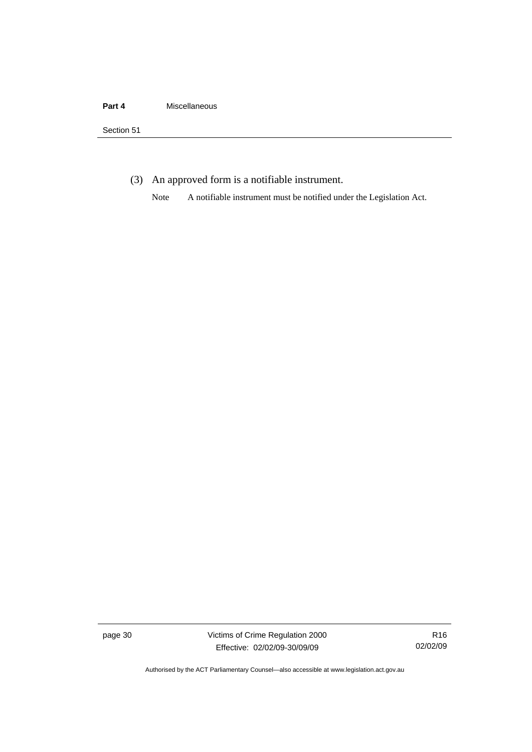(3) An approved form is a notifiable instrument.

Note A notifiable instrument must be notified under the Legislation Act.

page 30 Victims of Crime Regulation 2000 Effective: 02/02/09-30/09/09

R16 02/02/09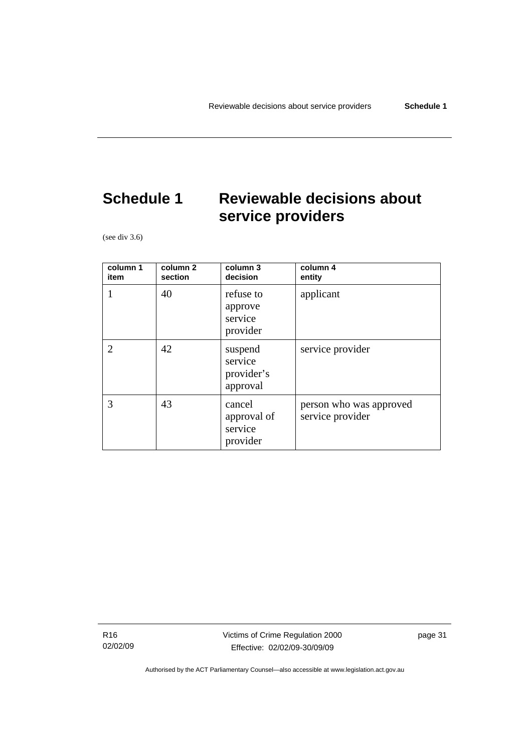# <span id="page-36-0"></span>**Schedule 1 Reviewable decisions about service providers**

(see div 3.6)

| column 1<br>item | column 2<br>section | column 3<br>decision                         | column 4<br>entity                          |
|------------------|---------------------|----------------------------------------------|---------------------------------------------|
|                  | 40                  | refuse to<br>approve<br>service<br>provider  | applicant                                   |
|                  | 42                  | suspend<br>service<br>provider's<br>approval | service provider                            |
| 3                | 43                  | cancel<br>approval of<br>service<br>provider | person who was approved<br>service provider |

R16 02/02/09 Victims of Crime Regulation 2000 Effective: 02/02/09-30/09/09

page 31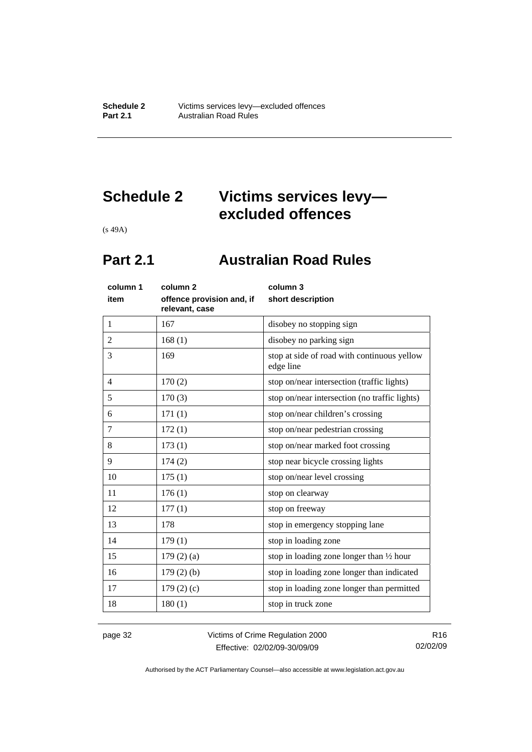# <span id="page-37-0"></span>**Schedule 2 Victims services levy excluded offences**

(s 49A)

# **Part 2.1 Australian Road Rules**

| column 1<br>item | column <sub>2</sub><br>offence provision and, if<br>relevant, case | column 3<br>short description                            |
|------------------|--------------------------------------------------------------------|----------------------------------------------------------|
| $\mathbf{1}$     | 167                                                                | disobey no stopping sign                                 |
| $\overline{2}$   | 168(1)                                                             | disobey no parking sign                                  |
| 3                | 169                                                                | stop at side of road with continuous yellow<br>edge line |
| $\overline{4}$   | 170(2)                                                             | stop on/near intersection (traffic lights)               |
| 5                | 170(3)                                                             | stop on/near intersection (no traffic lights)            |
| 6                | 171(1)                                                             | stop on/near children's crossing                         |
| $\tau$           | 172(1)                                                             | stop on/near pedestrian crossing                         |
| 8                | 173(1)                                                             | stop on/near marked foot crossing                        |
| 9                | 174(2)                                                             | stop near bicycle crossing lights                        |
| 10               | 175(1)                                                             | stop on/near level crossing                              |
| 11               | 176(1)                                                             | stop on clearway                                         |
| 12               | 177(1)                                                             | stop on freeway                                          |
| 13               | 178                                                                | stop in emergency stopping lane                          |
| 14               | 179(1)                                                             | stop in loading zone                                     |
| 15               | $179(2)$ (a)                                                       | stop in loading zone longer than $\frac{1}{2}$ hour      |
| 16               | 179(2)(b)                                                          | stop in loading zone longer than indicated               |
| 17               | 179(2)(c)                                                          | stop in loading zone longer than permitted               |
| 18               | 180(1)                                                             | stop in truck zone                                       |

page 32 Victims of Crime Regulation 2000 Effective: 02/02/09-30/09/09

R16 02/02/09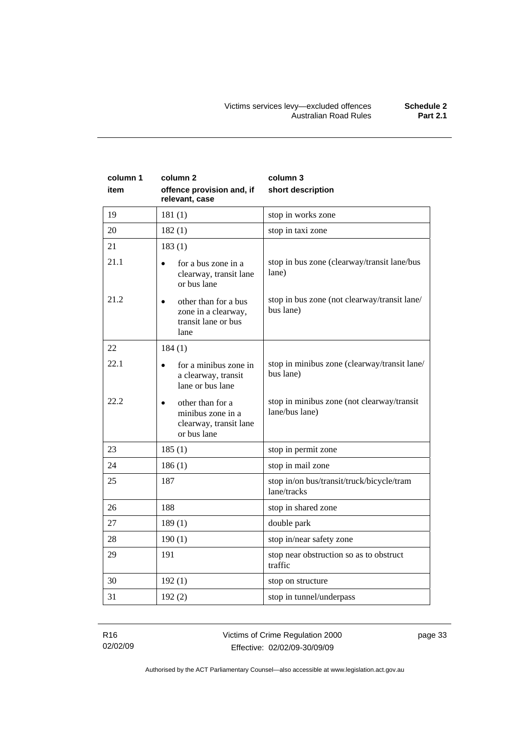| column 1<br>item | column 2<br>offence provision and, if<br>relevant, case                                     | column 3<br>short description                                |
|------------------|---------------------------------------------------------------------------------------------|--------------------------------------------------------------|
| 19               | 181(1)                                                                                      | stop in works zone                                           |
| 20               | 182(1)                                                                                      | stop in taxi zone                                            |
| 21               | 183(1)                                                                                      |                                                              |
| 21.1             | for a bus zone in a<br>$\bullet$<br>clearway, transit lane<br>or bus lane                   | stop in bus zone (clearway/transit lane/bus<br>lane)         |
| 21.2             | other than for a bus<br>$\bullet$<br>zone in a clearway,<br>transit lane or bus<br>lane     | stop in bus zone (not clearway/transit lane/<br>bus lane)    |
| 22               | 184(1)                                                                                      |                                                              |
| 22.1             | for a minibus zone in<br>$\bullet$<br>a clearway, transit<br>lane or bus lane               | stop in minibus zone (clearway/transit lane/<br>bus lane)    |
| 22.2             | other than for a<br>$\bullet$<br>minibus zone in a<br>clearway, transit lane<br>or bus lane | stop in minibus zone (not clearway/transit<br>lane/bus lane) |
| 23               | 185(1)                                                                                      | stop in permit zone                                          |
| 24               | 186(1)                                                                                      | stop in mail zone                                            |
| 25               | 187                                                                                         | stop in/on bus/transit/truck/bicycle/tram<br>lane/tracks     |
| 26               | 188                                                                                         | stop in shared zone                                          |
| 27               | 189(1)                                                                                      | double park                                                  |
| 28               | 190(1)                                                                                      | stop in/near safety zone                                     |
| 29               | 191                                                                                         | stop near obstruction so as to obstruct<br>traffic           |
| 30               | 192(1)                                                                                      | stop on structure                                            |
| 31               | 192(2)                                                                                      | stop in tunnel/underpass                                     |

R16 02/02/09 page 33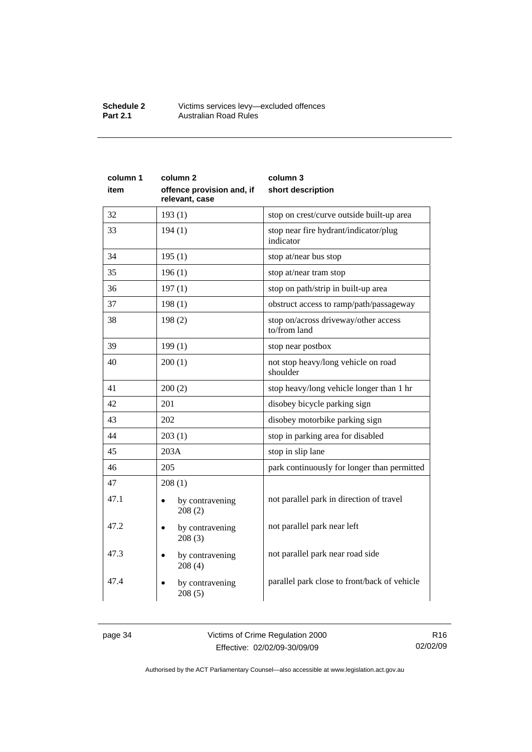#### **Schedule 2** Victims services levy—excluded offences **Part 2.1 Australian Road Rules**

| column 1<br>item | column <sub>2</sub><br>offence provision and, if<br>relevant, case | column 3<br>short description                        |
|------------------|--------------------------------------------------------------------|------------------------------------------------------|
| 32               | 193(1)                                                             | stop on crest/curve outside built-up area            |
| 33               | 194(1)                                                             | stop near fire hydrant/indicator/plug<br>indicator   |
| 34               | 195(1)                                                             | stop at/near bus stop                                |
| 35               | 196(1)                                                             | stop at/near tram stop                               |
| 36               | 197(1)                                                             | stop on path/strip in built-up area                  |
| 37               | 198(1)                                                             | obstruct access to ramp/path/passageway              |
| 38               | 198(2)                                                             | stop on/across driveway/other access<br>to/from land |
| 39               | 199(1)                                                             | stop near postbox                                    |
| 40               | 200(1)                                                             | not stop heavy/long vehicle on road<br>shoulder      |
| 41               | 200(2)                                                             | stop heavy/long vehicle longer than 1 hr             |
| 42               | 201                                                                | disobey bicycle parking sign                         |
| 43               | 202                                                                | disobey motorbike parking sign                       |
| 44               | 203(1)                                                             | stop in parking area for disabled                    |
| 45               | 203A                                                               | stop in slip lane                                    |
| 46               | 205                                                                | park continuously for longer than permitted          |
| 47               | 208(1)                                                             |                                                      |
| 47.1             | by contravening<br>208(2)                                          | not parallel park in direction of travel             |
| 47.2             | by contravening<br>208(3)                                          | not parallel park near left                          |
| 47.3             | by contravening<br>208(4)                                          | not parallel park near road side                     |
| 47.4             | by contravening<br>208(5)                                          | parallel park close to front/back of vehicle         |

page 34 Victims of Crime Regulation 2000 Effective: 02/02/09-30/09/09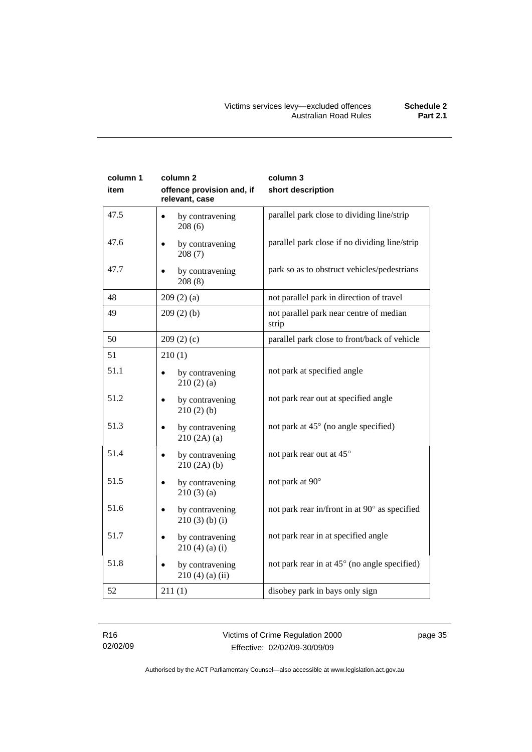| column 1<br>item | column <sub>2</sub><br>offence provision and, if<br>relevant, case | column 3<br>short description                    |
|------------------|--------------------------------------------------------------------|--------------------------------------------------|
| 47.5             | by contravening<br>٠<br>208(6)                                     | parallel park close to dividing line/strip       |
| 47.6             | by contravening<br>$\bullet$<br>208(7)                             | parallel park close if no dividing line/strip    |
| 47.7             | by contravening<br>208(8)                                          | park so as to obstruct vehicles/pedestrians      |
| 48               | 209(2)(a)                                                          | not parallel park in direction of travel         |
| 49               | 209(2)(b)                                                          | not parallel park near centre of median<br>strip |
| 50               | 209(2)(c)                                                          | parallel park close to front/back of vehicle     |
| 51               | 210(1)                                                             |                                                  |
| 51.1             | by contravening<br>210(2)(a)                                       | not park at specified angle                      |
| 51.2             | by contravening<br>$\bullet$<br>210(2)(b)                          | not park rear out at specified angle             |
| 51.3             | by contravening<br>$\bullet$<br>210(2A)(a)                         | not park at 45° (no angle specified)             |
| 51.4             | by contravening<br>210(2A)(b)                                      | not park rear out at 45°                         |
| 51.5             | by contravening<br>$\bullet$<br>210(3)(a)                          | not park at 90°                                  |
| 51.6             | by contravening<br>$210(3)$ (b) (i)                                | not park rear in/front in at 90° as specified    |
| 51.7             | by contravening<br>$\bullet$<br>$210(4)$ (a) (i)                   | not park rear in at specified angle              |
| 51.8             | by contravening<br>$210(4)$ (a) (ii)                               | not park rear in at 45° (no angle specified)     |
| 52               | 211(1)                                                             | disobey park in bays only sign                   |

page 35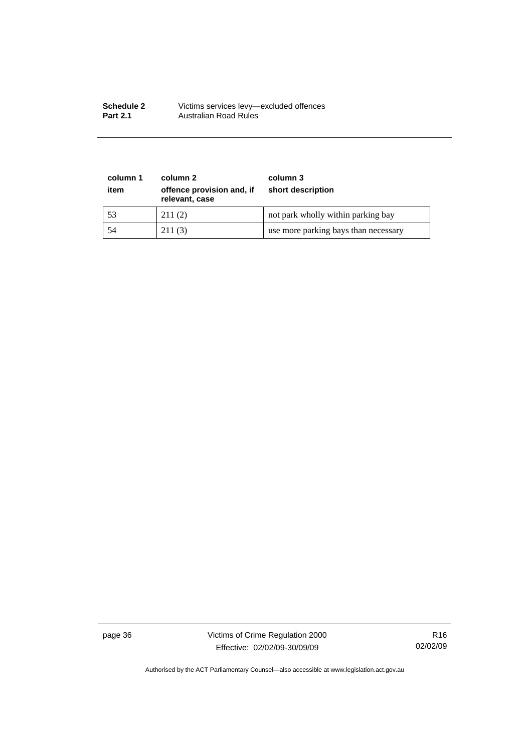| <b>Schedule 2</b> | Victims services levy-excluded offences |
|-------------------|-----------------------------------------|
| <b>Part 2.1</b>   | Australian Road Rules                   |

| column 1<br>item | column 2<br>offence provision and, if<br>relevant, case | column 3<br>short description        |
|------------------|---------------------------------------------------------|--------------------------------------|
| 53               | 211(2)                                                  | not park wholly within parking bay   |
| 54               | 211(3)                                                  | use more parking bays than necessary |

page 36 Victims of Crime Regulation 2000 Effective: 02/02/09-30/09/09

R16 02/02/09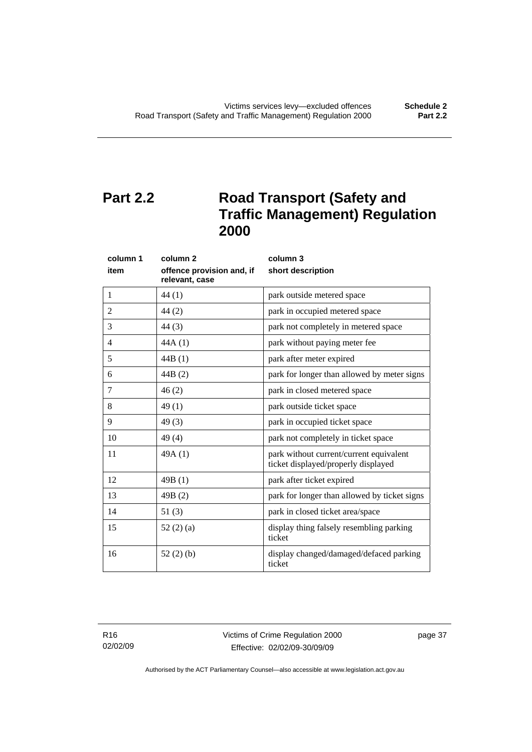# <span id="page-42-0"></span>**Part 2.2** Road Transport (Safety and **Traffic Management) Regulation 2000**

| column 1       | column <sub>2</sub>                         | column 3                                                                       |
|----------------|---------------------------------------------|--------------------------------------------------------------------------------|
| item           | offence provision and, if<br>relevant, case | short description                                                              |
| 1              | 44 (1)                                      | park outside metered space                                                     |
| $\overline{2}$ | 44(2)                                       | park in occupied metered space                                                 |
| 3              | 44(3)                                       | park not completely in metered space                                           |
| 4              | 44A(1)                                      | park without paying meter fee                                                  |
| 5              | 44B(1)                                      | park after meter expired                                                       |
| 6              | 44B(2)                                      | park for longer than allowed by meter signs                                    |
| 7              | 46(2)                                       | park in closed metered space                                                   |
| 8              | 49(1)                                       | park outside ticket space                                                      |
| 9              | 49(3)                                       | park in occupied ticket space                                                  |
| 10             | 49(4)                                       | park not completely in ticket space                                            |
| 11             | 49A(1)                                      | park without current/current equivalent<br>ticket displayed/properly displayed |
| 12             | 49B(1)                                      | park after ticket expired                                                      |
| 13             | 49B(2)                                      | park for longer than allowed by ticket signs                                   |
| 14             | 51(3)                                       | park in closed ticket area/space                                               |
| 15             | 52(2)(a)                                    | display thing falsely resembling parking<br>ticket                             |
| 16             | 52(2)(b)                                    | display changed/damaged/defaced parking<br>ticket                              |

R16 02/02/09 Victims of Crime Regulation 2000 Effective: 02/02/09-30/09/09

page 37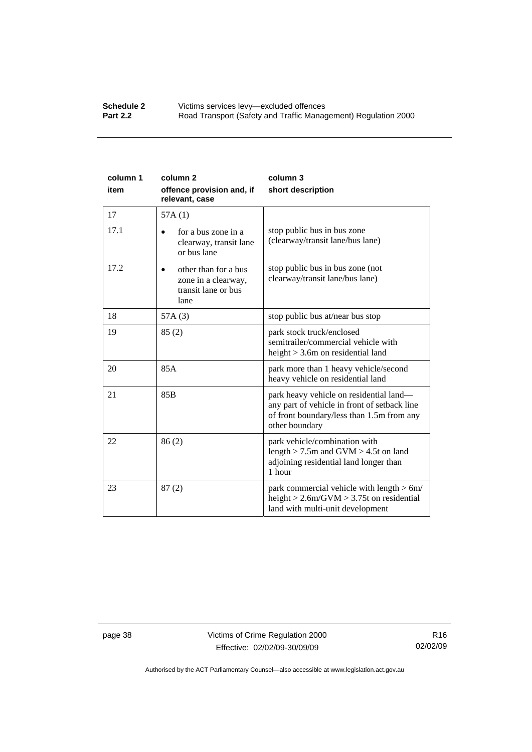#### **Schedule 2 Victims services levy—excluded offences**<br>**Part 2.2 Road Transport (Safety and Traffic Manad Part 2.2** Road Transport (Safety and Traffic Management) Regulation 2000

| column 1<br>item | column <sub>2</sub><br>offence provision and, if<br>relevant, case         | column 3<br>short description                                                                                                                          |
|------------------|----------------------------------------------------------------------------|--------------------------------------------------------------------------------------------------------------------------------------------------------|
| 17               | 57A(1)                                                                     |                                                                                                                                                        |
| 17.1             | for a bus zone in a<br>clearway, transit lane<br>or bus lane               | stop public bus in bus zone<br>(clearway/transit lane/bus lane)                                                                                        |
| 17.2             | other than for a bus<br>zone in a clearway,<br>transit lane or bus<br>lane | stop public bus in bus zone (not<br>clearway/transit lane/bus lane)                                                                                    |
| 18               | 57A(3)                                                                     | stop public bus at/near bus stop                                                                                                                       |
| 19               | 85(2)                                                                      | park stock truck/enclosed<br>semitrailer/commercial vehicle with<br>height $>$ 3.6m on residential land                                                |
| 20               | 85A                                                                        | park more than 1 heavy vehicle/second<br>heavy vehicle on residential land                                                                             |
| 21               | 85 <sub>B</sub>                                                            | park heavy vehicle on residential land—<br>any part of vehicle in front of setback line<br>of front boundary/less than 1.5m from any<br>other boundary |
| 22               | 86(2)                                                                      | park vehicle/combination with<br>length $>$ 7.5m and GVM $>$ 4.5t on land<br>adjoining residential land longer than<br>1 hour                          |
| 23               | 87(2)                                                                      | park commercial vehicle with length $> 6m/$<br>height $> 2.6$ m/GVM $> 3.75$ t on residential<br>land with multi-unit development                      |

page 38 Victims of Crime Regulation 2000 Effective: 02/02/09-30/09/09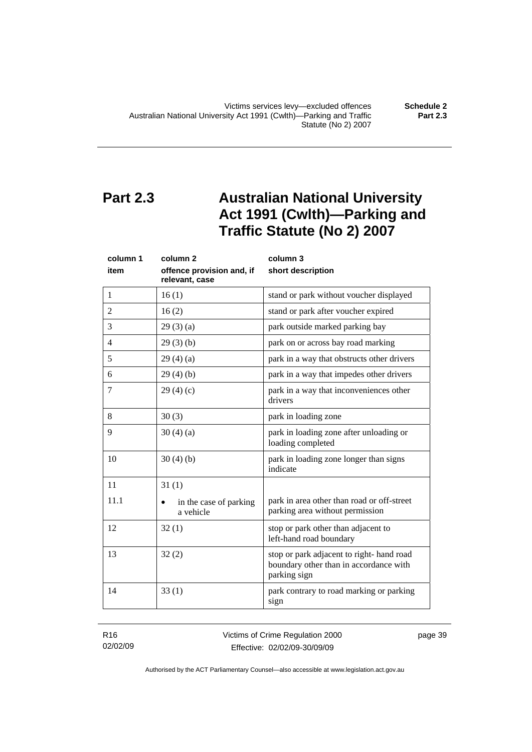<span id="page-44-0"></span>Victims services levy—excluded offences **Schedule 2**  Australian National University Act 1991 (Cwlth)—Parking and Traffic Statute (No 2) 2007

# **Part 2.3 Australian National University Act 1991 (Cwlth)—Parking and Traffic Statute (No 2) 2007**

| column 1       | column <sub>2</sub>                         | column 3                                                                                            |
|----------------|---------------------------------------------|-----------------------------------------------------------------------------------------------------|
| item           | offence provision and, if<br>relevant, case | short description                                                                                   |
| $\mathbf{1}$   | 16(1)                                       | stand or park without voucher displayed                                                             |
| $\overline{2}$ | 16(2)                                       | stand or park after voucher expired                                                                 |
| 3              | 29(3)(a)                                    | park outside marked parking bay                                                                     |
| $\overline{4}$ | 29(3)(b)                                    | park on or across bay road marking                                                                  |
| 5              | 29(4)(a)                                    | park in a way that obstructs other drivers                                                          |
| 6              | 29(4)(b)                                    | park in a way that impedes other drivers                                                            |
| 7              | 29(4)(c)                                    | park in a way that inconveniences other<br>drivers                                                  |
| 8              | 30(3)                                       | park in loading zone                                                                                |
| 9              | 30(4)(a)                                    | park in loading zone after unloading or<br>loading completed                                        |
| 10             | 30(4)(b)                                    | park in loading zone longer than signs<br>indicate                                                  |
| 11             | 31(1)                                       |                                                                                                     |
| 11.1           | in the case of parking<br>a vehicle         | park in area other than road or off-street<br>parking area without permission                       |
| 12             | 32(1)                                       | stop or park other than adjacent to<br>left-hand road boundary                                      |
| 13             | 32(2)                                       | stop or park adjacent to right- hand road<br>boundary other than in accordance with<br>parking sign |
| 14             | 33(1)                                       | park contrary to road marking or parking<br>sign                                                    |

R16 02/02/09 Victims of Crime Regulation 2000 Effective: 02/02/09-30/09/09

page 39

Authorised by the ACT Parliamentary Counsel—also accessible at www.legislation.act.gov.au

**Part 2.3**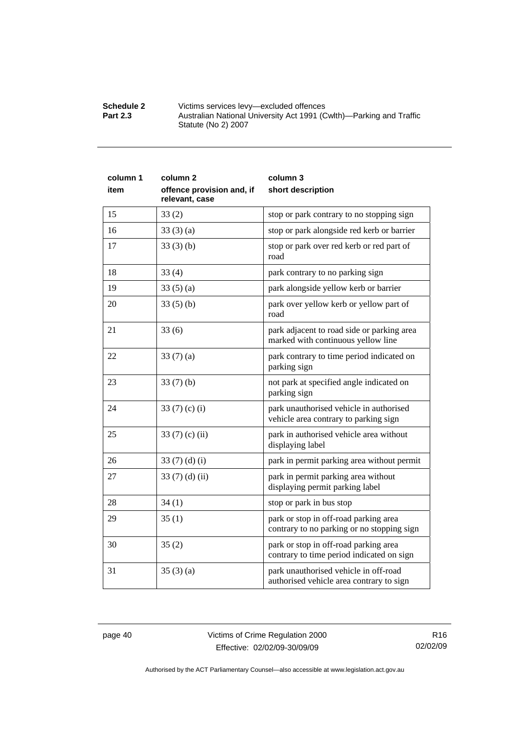| Schedule 2      | Victims services levy-excluded offences                             |
|-----------------|---------------------------------------------------------------------|
| <b>Part 2.3</b> | Australian National University Act 1991 (Cwlth)—Parking and Traffic |
|                 | Statute (No 2) 2007                                                 |

| column 1 | column <sub>2</sub>                         | column 3                                                                            |
|----------|---------------------------------------------|-------------------------------------------------------------------------------------|
| item     | offence provision and, if<br>relevant, case | short description                                                                   |
| 15       | 33(2)                                       | stop or park contrary to no stopping sign                                           |
| 16       | 33(3)(a)                                    | stop or park alongside red kerb or barrier                                          |
| 17       | 33(3)(b)                                    | stop or park over red kerb or red part of<br>road                                   |
| 18       | 33(4)                                       | park contrary to no parking sign                                                    |
| 19       | 33(5)(a)                                    | park alongside yellow kerb or barrier                                               |
| 20       | 33(5)(b)                                    | park over yellow kerb or yellow part of<br>road                                     |
| 21       | 33(6)                                       | park adjacent to road side or parking area<br>marked with continuous yellow line    |
| 22       | 33(7)(a)                                    | park contrary to time period indicated on<br>parking sign                           |
| 23       | 33(7)(b)                                    | not park at specified angle indicated on<br>parking sign                            |
| 24       | 33 $(7)$ $(c)$ $(i)$                        | park unauthorised vehicle in authorised<br>vehicle area contrary to parking sign    |
| 25       | 33 $(7)$ (c) (ii)                           | park in authorised vehicle area without<br>displaying label                         |
| 26       | 33 $(7)$ $(d)$ $(i)$                        | park in permit parking area without permit                                          |
| 27       | 33 (7) (d) (ii)                             | park in permit parking area without<br>displaying permit parking label              |
| 28       | 34(1)                                       | stop or park in bus stop                                                            |
| 29       | 35(1)                                       | park or stop in off-road parking area<br>contrary to no parking or no stopping sign |
| 30       | 35(2)                                       | park or stop in off-road parking area<br>contrary to time period indicated on sign  |
| 31       | 35(3)(a)                                    | park unauthorised vehicle in off-road<br>authorised vehicle area contrary to sign   |

page 40 Victims of Crime Regulation 2000 Effective: 02/02/09-30/09/09

R16 02/02/09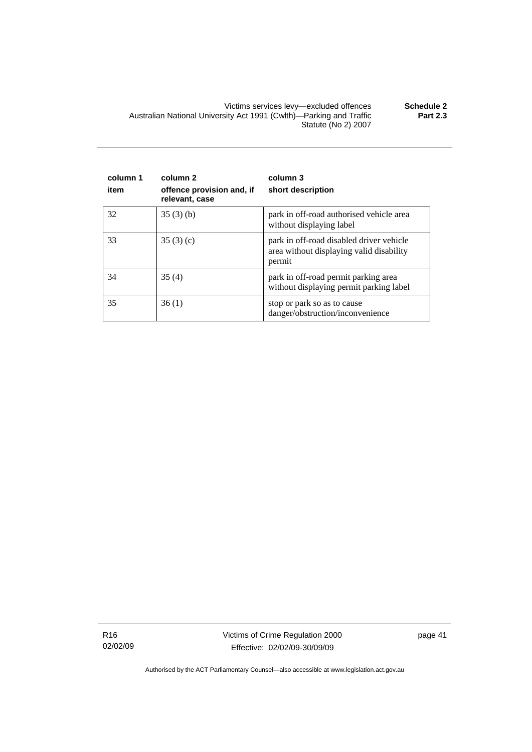Victims services levy—excluded offences **Schedule 2**  Australian National University Act 1991 (Cwlth)—Parking and Traffic Statute (No 2) 2007 **Part 2.3** 

| column 1<br>item | column <sub>2</sub><br>offence provision and, if<br>relevant, case | column 3<br>short description                                                                  |
|------------------|--------------------------------------------------------------------|------------------------------------------------------------------------------------------------|
| 32               | 35(3)(b)                                                           | park in off-road authorised vehicle area<br>without displaying label                           |
| 33               | 35(3)(c)                                                           | park in off-road disabled driver vehicle<br>area without displaying valid disability<br>permit |
| 34               | 35(4)                                                              | park in off-road permit parking area<br>without displaying permit parking label                |
| 35               | 36(1)                                                              | stop or park so as to cause<br>danger/obstruction/inconvenience                                |

R16 02/02/09 Victims of Crime Regulation 2000 Effective: 02/02/09-30/09/09

page 41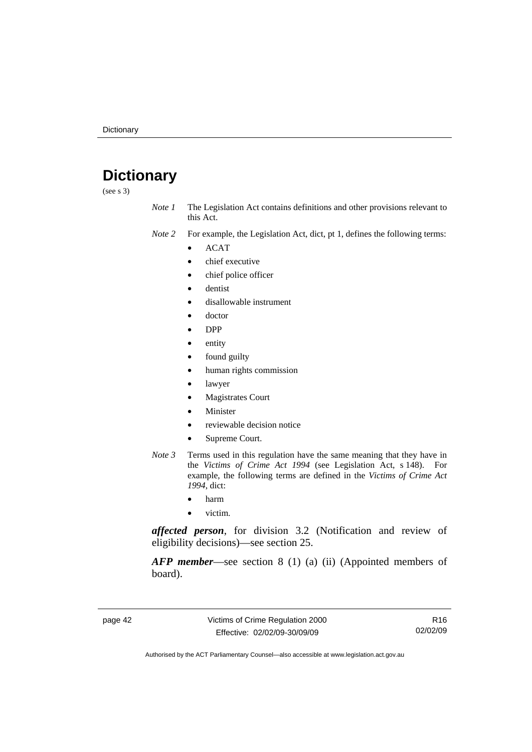# <span id="page-47-0"></span>**Dictionary**

(see s 3)

*Note 1* The Legislation Act contains definitions and other provisions relevant to this Act.

*Note 2* For example, the Legislation Act, dict, pt 1, defines the following terms:

- ACAT
- chief executive
- chief police officer
- dentist
- disallowable instrument
- doctor
- DPP
- entity
- found guilty
- human rights commission
- lawyer
- **Magistrates Court**
- **Minister**
- reviewable decision notice
- Supreme Court.
- *Note 3* Terms used in this regulation have the same meaning that they have in the *Victims of Crime Act 1994* (see Legislation Act, s 148). For example, the following terms are defined in the *Victims of Crime Act 1994*, dict:
	- harm
	- victim.

*affected person*, for division 3.2 (Notification and review of eligibility decisions)—see section 25.

*AFP member*—see section 8 (1) (a) (ii) (Appointed members of board).

page 42 Victims of Crime Regulation 2000 Effective: 02/02/09-30/09/09

R16 02/02/09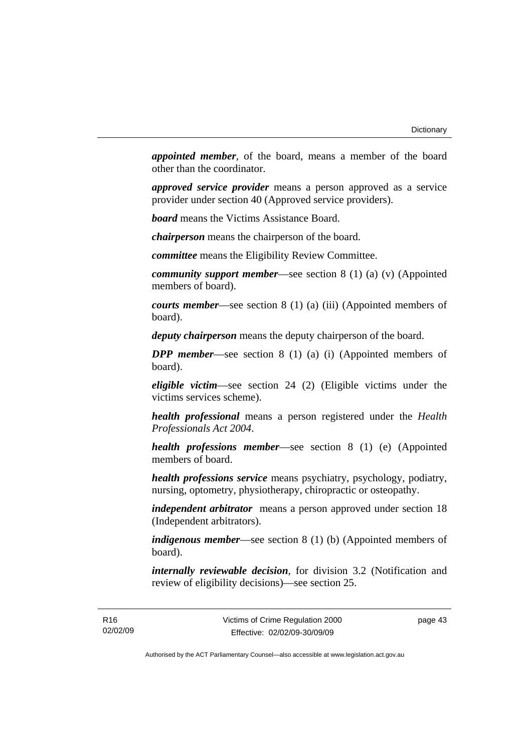*appointed member*, of the board, means a member of the board other than the coordinator.

*approved service provider* means a person approved as a service provider under section 40 (Approved service providers).

*board* means the Victims Assistance Board.

*chairperson* means the chairperson of the board.

*committee* means the Eligibility Review Committee.

*community support member*—see section 8 (1) (a) (v) (Appointed members of board).

*courts member*—see section 8 (1) (a) (iii) (Appointed members of board).

*deputy chairperson* means the deputy chairperson of the board.

*DPP member*—see section 8 (1) (a) (i) (Appointed members of board).

*eligible victim*—see section 24 (2) (Eligible victims under the victims services scheme).

*health professional* means a person registered under the *Health Professionals Act 2004*.

*health professions member*—see section 8 (1) (e) (Appointed members of board.

*health professions service* means psychiatry, psychology, podiatry, nursing, optometry, physiotherapy, chiropractic or osteopathy.

*independent arbitrator* means a person approved under section 18 (Independent arbitrators).

*indigenous member*—see section 8 (1) (b) (Appointed members of board).

*internally reviewable decision*, for division 3.2 (Notification and review of eligibility decisions)—see section 25.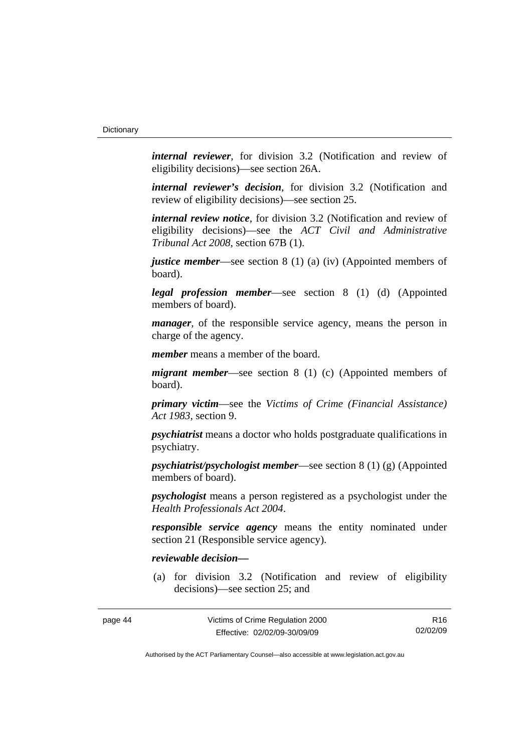*internal reviewer*, for division 3.2 (Notification and review of eligibility decisions)—see section 26A.

*internal reviewer's decision*, for division 3.2 (Notification and review of eligibility decisions)—see section 25.

*internal review notice*, for division 3.2 (Notification and review of eligibility decisions)—see the *ACT Civil and Administrative Tribunal Act 2008*, section 67B (1).

*justice member*—see section 8 (1) (a) (iv) (Appointed members of board).

*legal profession member*—see section 8 (1) (d) (Appointed members of board).

*manager*, of the responsible service agency, means the person in charge of the agency.

*member* means a member of the board.

*migrant member*—see section 8 (1) (c) (Appointed members of board).

*primary victim*—see the *Victims of Crime (Financial Assistance) Act 1983*, section 9.

*psychiatrist* means a doctor who holds postgraduate qualifications in psychiatry.

*psychiatrist/psychologist member*—see section 8 (1) (g) (Appointed members of board).

*psychologist* means a person registered as a psychologist under the *Health Professionals Act 2004*.

*responsible service agency* means the entity nominated under section 21 (Responsible service agency).

#### *reviewable decision—*

 (a) for division 3.2 (Notification and review of eligibility decisions)—see section 25; and

| page 44 |  |
|---------|--|
|---------|--|

R16 02/02/09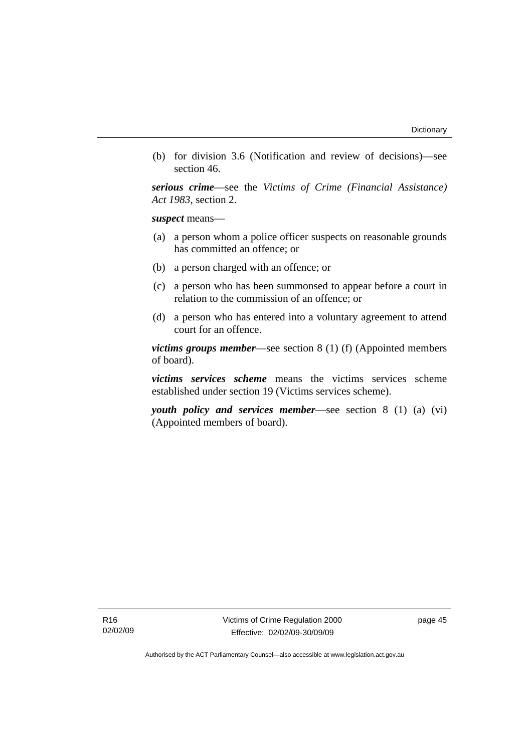(b) for division 3.6 (Notification and review of decisions)—see section 46.

*serious crime*—see the *Victims of Crime (Financial Assistance) Act 1983*, section 2.

*suspect* means—

- (a) a person whom a police officer suspects on reasonable grounds has committed an offence; or
- (b) a person charged with an offence; or
- (c) a person who has been summonsed to appear before a court in relation to the commission of an offence; or
- (d) a person who has entered into a voluntary agreement to attend court for an offence.

*victims groups member*—see section 8 (1) (f) (Appointed members of board).

*victims services scheme* means the victims services scheme established under section 19 (Victims services scheme).

*youth policy and services member*—see section 8 (1) (a) (vi) (Appointed members of board).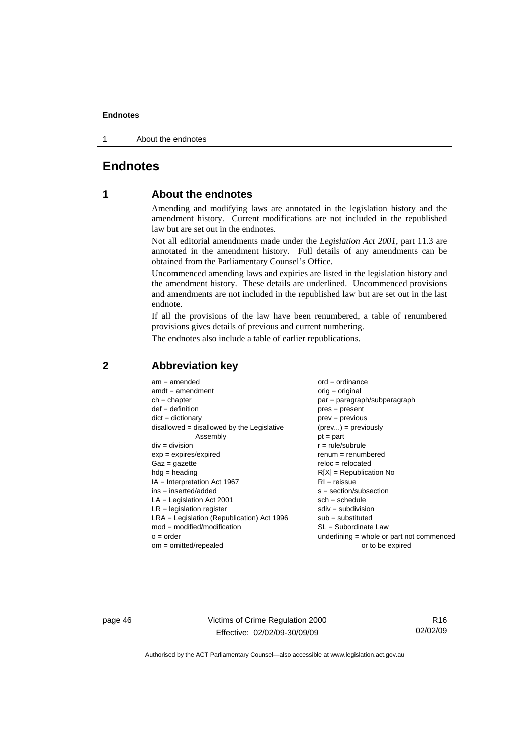<span id="page-51-0"></span>1 About the endnotes

### **Endnotes**

### **1 About the endnotes**

Amending and modifying laws are annotated in the legislation history and the amendment history. Current modifications are not included in the republished law but are set out in the endnotes.

Not all editorial amendments made under the *Legislation Act 2001*, part 11.3 are annotated in the amendment history. Full details of any amendments can be obtained from the Parliamentary Counsel's Office.

Uncommenced amending laws and expiries are listed in the legislation history and the amendment history. These details are underlined. Uncommenced provisions and amendments are not included in the republished law but are set out in the last endnote.

If all the provisions of the law have been renumbered, a table of renumbered provisions gives details of previous and current numbering.

The endnotes also include a table of earlier republications.

| $am = amended$                               | $ord = ordinance$                         |
|----------------------------------------------|-------------------------------------------|
| $amdt = amendment$                           | $orig = original$                         |
| $ch = chapter$                               | $par = paragraph/subparagraph$            |
| $def = definition$                           | $pres = present$                          |
| $dict = dictionary$                          | $prev = previous$                         |
| disallowed = disallowed by the Legislative   | $(\text{prev}) = \text{previously}$       |
| Assembly                                     | $pt = part$                               |
| $div = division$                             | $r = rule/subrule$                        |
| $exp = expires/expired$                      | $remum = renumbered$                      |
| $Gaz = gazette$                              | $reloc = relocated$                       |
| $hdg =$ heading                              | $R[X]$ = Republication No                 |
| $IA = Interpretation Act 1967$               | $RI = reissue$                            |
| $ins = inserted/added$                       | $s = section/subsection$                  |
| $LA =$ Legislation Act 2001                  | $sch = schedule$                          |
| $LR =$ legislation register                  | $sdiv = subdivision$                      |
| $LRA =$ Legislation (Republication) Act 1996 | $sub = substituted$                       |
| $mod = modified/modification$                | SL = Subordinate Law                      |
| $o = order$                                  | underlining = whole or part not commenced |
| $om = omitted/repealed$                      | or to be expired                          |
|                                              |                                           |

#### **2 Abbreviation key**

page 46 Victims of Crime Regulation 2000 Effective: 02/02/09-30/09/09

R16 02/02/09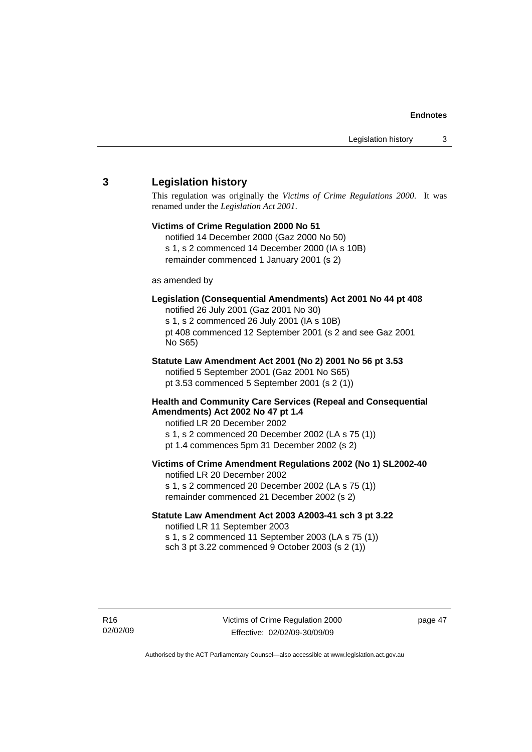#### <span id="page-52-0"></span>**3 Legislation history**

This regulation was originally the *Victims of Crime Regulations 2000*. It was renamed under the *Legislation Act 2001*.

# **Victims of Crime Regulation 2000 No 51**

notified 14 December 2000 (Gaz 2000 No 50) s 1, s 2 commenced 14 December 2000 (IA s 10B) remainder commenced 1 January 2001 (s 2)

#### as amended by

#### **Legislation (Consequential Amendments) Act 2001 No 44 pt 408**

notified 26 July 2001 (Gaz 2001 No 30) s 1, s 2 commenced 26 July 2001 (IA s 10B) pt 408 commenced 12 September 2001 (s 2 and see Gaz 2001 No S65)

# **Statute Law Amendment Act 2001 (No 2) 2001 No 56 pt 3.53**

notified 5 September 2001 (Gaz 2001 No S65) pt 3.53 commenced 5 September 2001 (s 2 (1))

#### **Health and Community Care Services (Repeal and Consequential Amendments) Act 2002 No 47 pt 1.4**

notified LR 20 December 2002

- s 1, s 2 commenced 20 December 2002 (LA s 75 (1))
- pt 1.4 commences 5pm 31 December 2002 (s 2)

#### **Victims of Crime Amendment Regulations 2002 (No 1) SL2002-40**

notified LR 20 December 2002 s 1, s 2 commenced 20 December 2002 (LA s 75 (1)) remainder commenced 21 December 2002 (s 2)

#### **Statute Law Amendment Act 2003 A2003-41 sch 3 pt 3.22**  notified LR 11 September 2003

s 1, s 2 commenced 11 September 2003 (LA s 75 (1)) sch 3 pt 3.22 commenced 9 October 2003 (s 2 (1))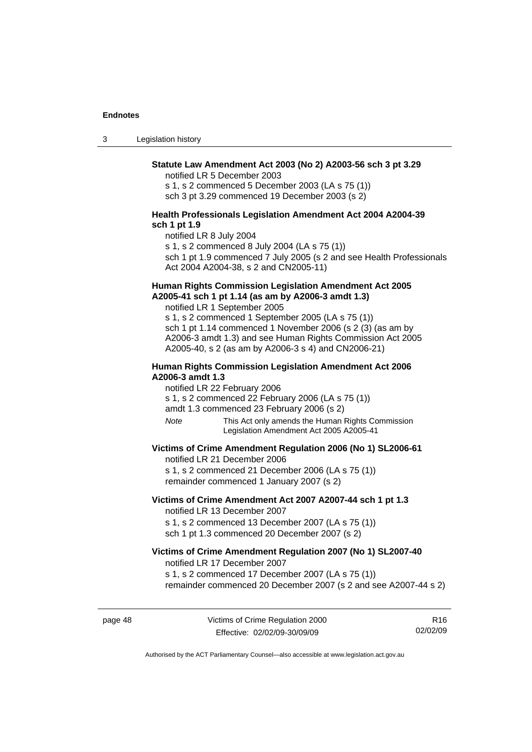3 Legislation history

#### **Statute Law Amendment Act 2003 (No 2) A2003-56 sch 3 pt 3.29**

notified LR 5 December 2003

s 1, s 2 commenced 5 December 2003 (LA s 75 (1)) sch 3 pt 3.29 commenced 19 December 2003 (s 2)

#### **Health Professionals Legislation Amendment Act 2004 A2004-39 sch 1 pt 1.9**

notified LR 8 July 2004 s 1, s 2 commenced 8 July 2004 (LA s 75 (1)) sch 1 pt 1.9 commenced 7 July 2005 (s 2 and see Health Professionals Act 2004 A2004-38, s 2 and CN2005-11)

#### **Human Rights Commission Legislation Amendment Act 2005 A2005-41 sch 1 pt 1.14 (as am by A2006-3 amdt 1.3)**

notified LR 1 September 2005 s 1, s 2 commenced 1 September 2005 (LA s 75 (1)) sch 1 pt 1.14 commenced 1 November 2006 (s 2 (3) (as am by A2006-3 amdt 1.3) and see Human Rights Commission Act 2005 A2005-40, s 2 (as am by A2006-3 s 4) and CN2006-21)

#### **Human Rights Commission Legislation Amendment Act 2006 A2006-3 amdt 1.3**

notified LR 22 February 2006

s 1, s 2 commenced 22 February 2006 (LA s 75 (1))

amdt 1.3 commenced 23 February 2006 (s 2)

*Note* This Act only amends the Human Rights Commission Legislation Amendment Act 2005 A2005-41

#### **Victims of Crime Amendment Regulation 2006 (No 1) SL2006-61**

notified LR 21 December 2006 s 1, s 2 commenced 21 December 2006 (LA s 75 (1)) remainder commenced 1 January 2007 (s 2)

# **Victims of Crime Amendment Act 2007 A2007-44 sch 1 pt 1.3**  notified LR 13 December 2007

s 1, s 2 commenced 13 December 2007 (LA s 75 (1)) sch 1 pt 1.3 commenced 20 December 2007 (s 2)

#### **Victims of Crime Amendment Regulation 2007 (No 1) SL2007-40**  notified LR 17 December 2007

s 1, s 2 commenced 17 December 2007 (LA s 75 (1))

remainder commenced 20 December 2007 (s 2 and see A2007-44 s 2)

page 48 Victims of Crime Regulation 2000 Effective: 02/02/09-30/09/09

R16 02/02/09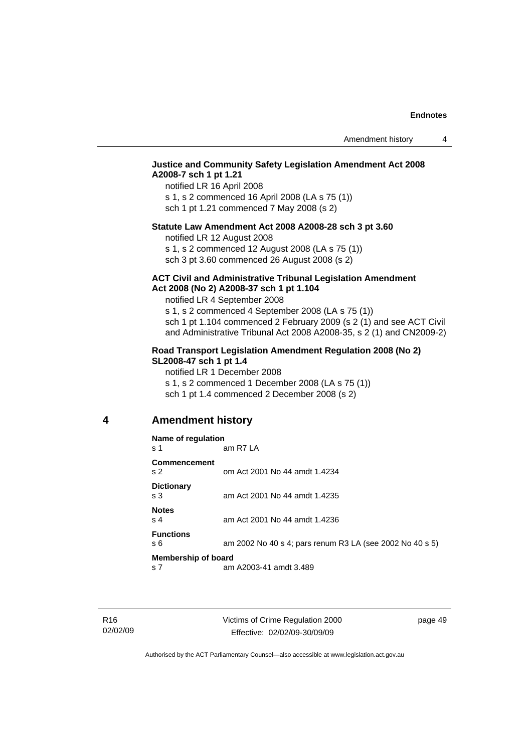#### <span id="page-54-0"></span>**Justice and Community Safety Legislation Amendment Act 2008 A2008-7 sch 1 pt 1.21**

notified LR 16 April 2008 s 1, s 2 commenced 16 April 2008 (LA s 75 (1)) sch 1 pt 1.21 commenced 7 May 2008 (s 2)

#### **Statute Law Amendment Act 2008 A2008-28 sch 3 pt 3.60**

notified LR 12 August 2008

s 1, s 2 commenced 12 August 2008 (LA s 75 (1)) sch 3 pt 3.60 commenced 26 August 2008 (s 2)

#### **ACT Civil and Administrative Tribunal Legislation Amendment Act 2008 (No 2) A2008-37 sch 1 pt 1.104**

notified LR 4 September 2008

s 1, s 2 commenced 4 September 2008 (LA s 75 (1)) sch 1 pt 1.104 commenced 2 February 2009 (s 2 (1) and see ACT Civil and Administrative Tribunal Act 2008 A2008-35, s 2 (1) and CN2009-2)

#### **Road Transport Legislation Amendment Regulation 2008 (No 2) SL2008-47 sch 1 pt 1.4**

notified LR 1 December 2008 s 1, s 2 commenced 1 December 2008 (LA s 75 (1)) sch 1 pt 1.4 commenced 2 December 2008 (s 2)

#### **4 Amendment history**

#### **Name of regulation**  s 1 am R7 LA **Commencement**  s 2 om Act 2001 No 44 amdt 1.4234 **Dictionary**  s 3 am Act 2001 No 44 amdt 1.4235 **Notes**  s 4 am Act 2001 No 44 amdt 1.4236 **Functions**  s 6 am 2002 No 40 s 4; pars renum R3 LA (see 2002 No 40 s 5) **Membership of board**  s 7 am A2003-41 amdt 3.489

page 49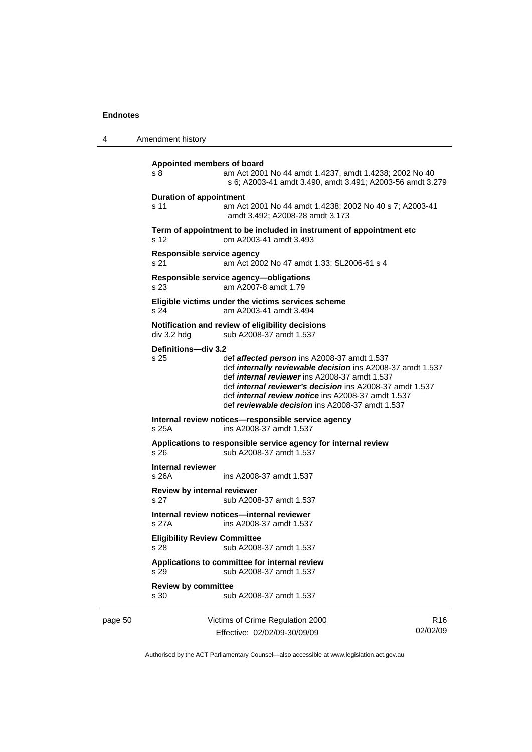| 4                                                                      | Amendment history                            |                                                                                                                                                                                                                                                                                                                                                                    |                             |
|------------------------------------------------------------------------|----------------------------------------------|--------------------------------------------------------------------------------------------------------------------------------------------------------------------------------------------------------------------------------------------------------------------------------------------------------------------------------------------------------------------|-----------------------------|
|                                                                        | Appointed members of board<br>s <sub>8</sub> | am Act 2001 No 44 amdt 1.4237, amdt 1.4238; 2002 No 40<br>s 6; A2003-41 amdt 3.490, amdt 3.491; A2003-56 amdt 3.279                                                                                                                                                                                                                                                |                             |
|                                                                        | <b>Duration of appointment</b><br>s 11       | am Act 2001 No 44 amdt 1.4238; 2002 No 40 s 7; A2003-41<br>amdt 3.492; A2008-28 amdt 3.173                                                                                                                                                                                                                                                                         |                             |
|                                                                        | s 12                                         | Term of appointment to be included in instrument of appointment etc<br>om A2003-41 amdt 3.493                                                                                                                                                                                                                                                                      |                             |
|                                                                        | Responsible service agency<br>s 21           | am Act 2002 No 47 amdt 1.33; SL2006-61 s 4                                                                                                                                                                                                                                                                                                                         |                             |
| Responsible service agency-obligations<br>am A2007-8 amdt 1.79<br>s 23 |                                              |                                                                                                                                                                                                                                                                                                                                                                    |                             |
|                                                                        | s 24                                         | Eligible victims under the victims services scheme<br>am A2003-41 amdt 3.494                                                                                                                                                                                                                                                                                       |                             |
|                                                                        | div 3.2 hdg                                  | Notification and review of eligibility decisions<br>sub A2008-37 amdt 1.537                                                                                                                                                                                                                                                                                        |                             |
|                                                                        | Definitions-div 3.2<br>s 25                  | def affected person ins A2008-37 amdt 1.537<br>def <i>internally reviewable decision</i> ins A2008-37 amdt 1.537<br>def <i>internal reviewer</i> ins A2008-37 amdt 1.537<br>def <i>internal reviewer's decision</i> ins A2008-37 amdt 1.537<br>def <i>internal review notice</i> ins A2008-37 amdt 1.537<br>def <i>reviewable decision</i> ins A2008-37 amdt 1.537 |                             |
|                                                                        | s 25A                                        | Internal review notices-responsible service agency<br>ins A2008-37 amdt 1.537                                                                                                                                                                                                                                                                                      |                             |
|                                                                        | s 26                                         | Applications to responsible service agency for internal review<br>sub A2008-37 amdt 1.537                                                                                                                                                                                                                                                                          |                             |
|                                                                        | Internal reviewer<br>s 26A                   | ins A2008-37 amdt 1.537                                                                                                                                                                                                                                                                                                                                            |                             |
|                                                                        | Review by internal reviewer<br>s 27          | sub A2008-37 amdt 1.537                                                                                                                                                                                                                                                                                                                                            |                             |
|                                                                        | s 27A                                        | Internal review notices—internal reviewer<br>ins A2008-37 amdt 1.537                                                                                                                                                                                                                                                                                               |                             |
|                                                                        | <b>Eligibility Review Committee</b><br>s 28  | sub A2008-37 amdt 1.537                                                                                                                                                                                                                                                                                                                                            |                             |
|                                                                        | s 29                                         | Applications to committee for internal review<br>sub A2008-37 amdt 1.537                                                                                                                                                                                                                                                                                           |                             |
|                                                                        | <b>Review by committee</b><br>s 30           | sub A2008-37 amdt 1.537                                                                                                                                                                                                                                                                                                                                            |                             |
| page 50                                                                |                                              | Victims of Crime Regulation 2000<br>Effective: 02/02/09-30/09/09                                                                                                                                                                                                                                                                                                   | R <sub>16</sub><br>02/02/09 |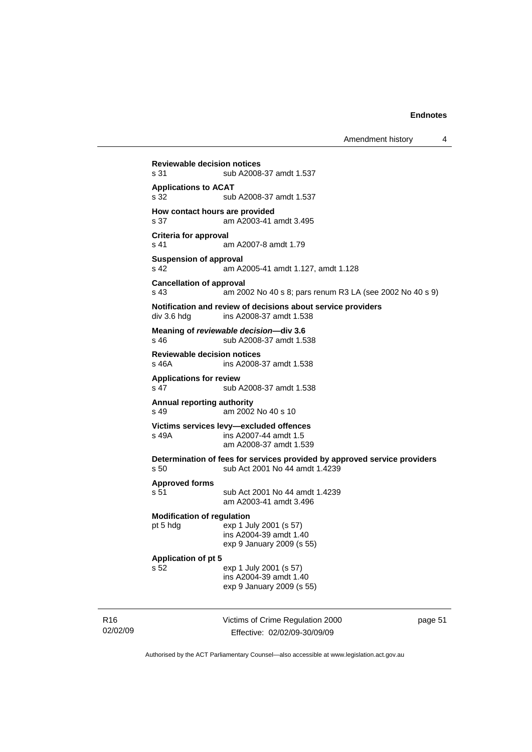Amendment history 4

Victims of Crime Regulation 2000 **Reviewable decision notices**  s 31 sub A2008-37 amdt 1.537 **Applications to ACAT**  s 32 sub A2008-37 amdt 1.537 **How contact hours are provided**  s 37 am A2003-41 amdt 3.495 **Criteria for approval**  s 41 am A2007-8 amdt 1.79 **Suspension of approval**  s 42 am A2005-41 amdt 1.127, amdt 1.128 **Cancellation of approval**  s 43 am 2002 No 40 s 8; pars renum R3 LA (see 2002 No 40 s 9) **Notification and review of decisions about service providers**  div 3.6 hdg ins A2008-37 amdt 1.538 **Meaning of** *reviewable decision—***div 3.6**  s 46 sub A2008-37 amdt 1.538 **Reviewable decision notices**  s 46A ins A2008-37 amdt 1.538 **Applications for review**  s 47 sub A2008-37 amdt 1.538 **Annual reporting authority**  s 49 am 2002 No 40 s 10 **Victims services levy—excluded offences**  s 49A ins A2007-44 amdt 1.5 am A2008-37 amdt 1.539 **Determination of fees for services provided by approved service providers**  s 50 sub Act 2001 No 44 amdt 1.4239 **Approved forms**  s 51 sub Act 2001 No 44 amdt 1.4239 am A2003-41 amdt 3.496 **Modification of regulation**  pt 5 hdg exp 1 July 2001 (s 57) ins A2004-39 amdt 1.40 exp 9 January 2009 (s 55) **Application of pt 5**  s 52 exp 1 July 2001 (s 57) ins A2004-39 amdt 1.40 exp 9 January 2009 (s 55)

R16 02/02/09

Effective: 02/02/09-30/09/09

page 51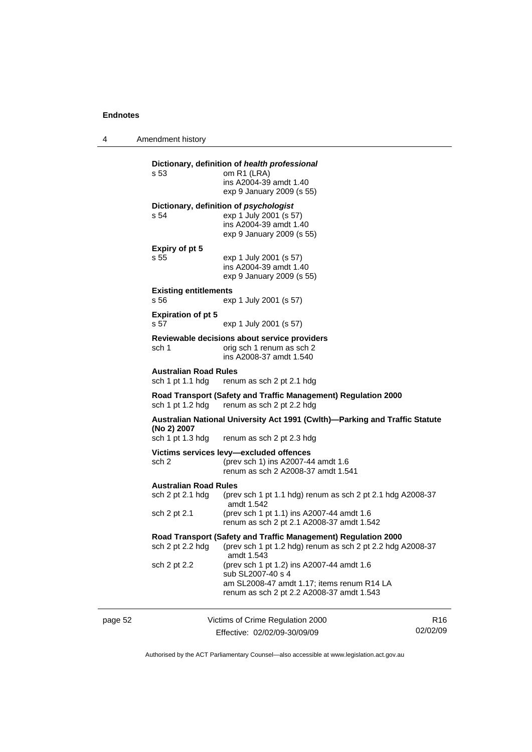4 Amendment history

|         |                                                  | Dictionary, definition of health professional                                                                                              |                 |
|---------|--------------------------------------------------|--------------------------------------------------------------------------------------------------------------------------------------------|-----------------|
|         | s 53                                             | om R1 (LRA)<br>ins A2004-39 amdt 1.40<br>exp 9 January 2009 (s 55)                                                                         |                 |
|         |                                                  | Dictionary, definition of psychologist                                                                                                     |                 |
|         | s 54                                             | exp 1 July 2001 (s 57)<br>ins A2004-39 amdt 1.40<br>exp 9 January 2009 (s 55)                                                              |                 |
|         | Expiry of pt 5                                   |                                                                                                                                            |                 |
|         | s 55                                             | exp 1 July 2001 (s 57)<br>ins A2004-39 amdt 1.40<br>exp 9 January 2009 (s 55)                                                              |                 |
|         | <b>Existing entitlements</b><br>s 56             | exp 1 July 2001 (s 57)                                                                                                                     |                 |
|         | <b>Expiration of pt 5</b><br>s 57                | exp 1 July 2001 (s 57)                                                                                                                     |                 |
|         | sch 1                                            | Reviewable decisions about service providers<br>orig sch 1 renum as sch 2<br>ins A2008-37 amdt 1.540                                       |                 |
|         | <b>Australian Road Rules</b><br>sch 1 pt 1.1 hdg | renum as sch 2 pt 2.1 hdg                                                                                                                  |                 |
|         |                                                  | Road Transport (Safety and Traffic Management) Regulation 2000<br>sch 1 pt 1.2 hdg renum as sch 2 pt 2.2 hdg                               |                 |
|         | (No 2) 2007<br>sch 1 pt 1.3 hdg                  | Australian National University Act 1991 (Cwith)—Parking and Traffic Statute<br>renum as sch 2 pt 2.3 hdg                                   |                 |
|         | sch 2                                            | Victims services levy-excluded offences<br>(prev sch 1) ins A2007-44 amdt 1.6<br>renum as sch 2 A2008-37 amdt 1.541                        |                 |
|         | <b>Australian Road Rules</b><br>sch 2 pt 2.1 hdg | (prev sch 1 pt 1.1 hdg) renum as sch 2 pt 2.1 hdg A2008-37<br>amdt 1.542                                                                   |                 |
|         | sch 2 pt 2.1                                     | (prev sch 1 pt 1.1) ins A2007-44 amdt 1.6<br>renum as sch 2 pt 2.1 A2008-37 amdt 1.542                                                     |                 |
|         | sch 2 pt 2.2 hdg                                 | Road Transport (Safety and Traffic Management) Regulation 2000<br>(prev sch 1 pt 1.2 hdg) renum as sch 2 pt 2.2 hdg A2008-37<br>amdt 1.543 |                 |
|         | sch 2 pt 2.2                                     | (prev sch 1 pt 1.2) ins A2007-44 amdt 1.6<br>sub SL2007-40 s 4<br>am SL2008-47 amdt 1.17; items renum R14 LA                               |                 |
|         |                                                  | renum as sch 2 pt 2.2 A2008-37 amdt 1.543                                                                                                  |                 |
| page 52 |                                                  | Victims of Crime Regulation 2000                                                                                                           | R <sub>16</sub> |

Effective: 02/02/09-30/09/09

R16 02/02/09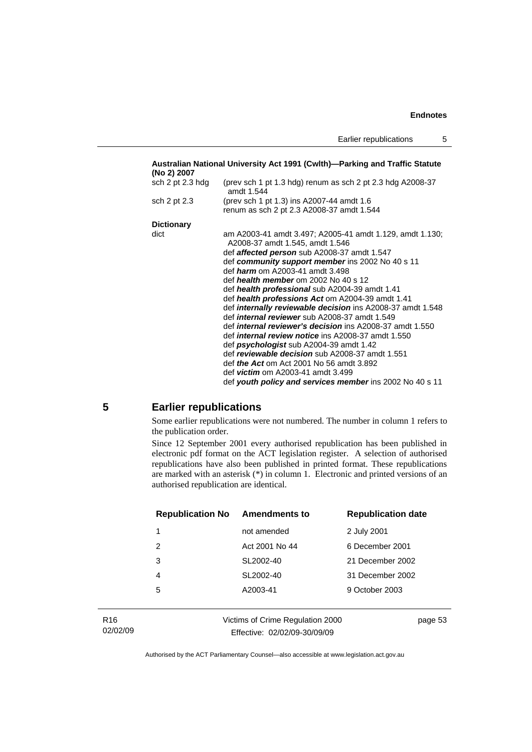<span id="page-58-0"></span>

| Australian National University Act 1991 (Cwlth)—Parking and Traffic Statute<br>(No 2) 2007 |                                                                                             |  |
|--------------------------------------------------------------------------------------------|---------------------------------------------------------------------------------------------|--|
| sch 2 pt 2.3 hdg                                                                           | (prev sch 1 pt 1.3 hdg) renum as sch 2 pt 2.3 hdg $A2008-37$<br>amdt 1.544                  |  |
| sch 2 pt 2.3                                                                               | (prev sch 1 pt 1.3) ins A2007-44 amdt 1.6                                                   |  |
|                                                                                            | renum as sch 2 pt 2.3 A2008-37 amdt 1.544                                                   |  |
| <b>Dictionary</b>                                                                          |                                                                                             |  |
| dict                                                                                       | am A2003-41 amdt 3.497; A2005-41 amdt 1.129, amdt 1.130;<br>A2008-37 amdt 1.545, amdt 1.546 |  |
|                                                                                            | def <b>affected person</b> sub A2008-37 amdt 1.547                                          |  |
|                                                                                            | def community support member ins 2002 No 40 s 11                                            |  |
|                                                                                            | def <i>harm</i> om A2003-41 amdt 3.498                                                      |  |
|                                                                                            | def health member om 2002 No 40 s 12                                                        |  |
|                                                                                            | def health professional sub A2004-39 amdt 1.41                                              |  |
|                                                                                            | def health professions Act om A2004-39 amdt 1.41                                            |  |
|                                                                                            | def <i>internally reviewable decision</i> ins A2008-37 amdt 1.548                           |  |
|                                                                                            | def <i>internal reviewer</i> sub A2008-37 amdt 1.549                                        |  |
|                                                                                            | def <i>internal reviewer's decision</i> ins A2008-37 amdt 1.550                             |  |
|                                                                                            | def <i>internal review notice</i> ins A2008-37 amdt 1.550                                   |  |
|                                                                                            | def psychologist sub A2004-39 amdt 1.42                                                     |  |
|                                                                                            | def reviewable decision sub A2008-37 amdt 1.551                                             |  |
|                                                                                            | def <i>the Act</i> om Act 2001 No 56 amdt 3.892                                             |  |
|                                                                                            | def <i>victim</i> om A2003-41 amdt 3.499                                                    |  |
|                                                                                            | def youth policy and services member ins 2002 No 40 s 11                                    |  |

#### **5 Earlier republications**

Some earlier republications were not numbered. The number in column 1 refers to the publication order.

Since 12 September 2001 every authorised republication has been published in electronic pdf format on the ACT legislation register. A selection of authorised republications have also been published in printed format. These republications are marked with an asterisk (\*) in column 1. Electronic and printed versions of an authorised republication are identical.

| <b>Republication No</b> | <b>Amendments to</b> | <b>Republication date</b> |
|-------------------------|----------------------|---------------------------|
| 1                       | not amended          | 2 July 2001               |
| 2                       | Act 2001 No 44       | 6 December 2001           |
| 3                       | SL2002-40            | 21 December 2002          |
| 4                       | SL2002-40            | 31 December 2002          |
| 5                       | A2003-41             | 9 October 2003            |
|                         |                      |                           |

| R16      |
|----------|
| 02/02/09 |

Victims of Crime Regulation 2000 Effective: 02/02/09-30/09/09

page 53